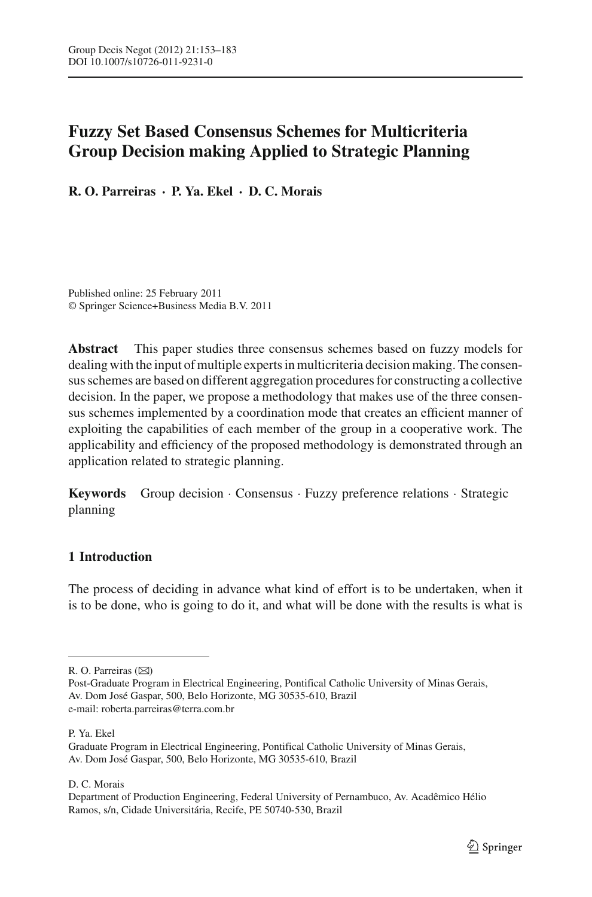# **Fuzzy Set Based Consensus Schemes for Multicriteria Group Decision making Applied to Strategic Planning**

**R. O. Parreiras · P. Ya. Ekel · D. C. Morais**

Published online: 25 February 2011 © Springer Science+Business Media B.V. 2011

**Abstract** This paper studies three consensus schemes based on fuzzy models for dealing with the input of multiple experts in multicriteria decision making. The consensus schemes are based on different aggregation procedures for constructing a collective decision. In the paper, we propose a methodology that makes use of the three consensus schemes implemented by a coordination mode that creates an efficient manner of exploiting the capabilities of each member of the group in a cooperative work. The applicability and efficiency of the proposed methodology is demonstrated through an application related to strategic planning.

**Keywords** Group decision · Consensus · Fuzzy preference relations · Strategic planning

# **1 Introduction**

The process of deciding in advance what kind of effort is to be undertaken, when it is to be done, who is going to do it, and what will be done with the results is what is

P. Ya. Ekel

D. C. Morais

R. O. Parreiras (⊠)

Post-Graduate Program in Electrical Engineering, Pontifical Catholic University of Minas Gerais, Av. Dom José Gaspar, 500, Belo Horizonte, MG 30535-610, Brazil e-mail: roberta.parreiras@terra.com.br

Graduate Program in Electrical Engineering, Pontifical Catholic University of Minas Gerais, Av. Dom José Gaspar, 500, Belo Horizonte, MG 30535-610, Brazil

Department of Production Engineering, Federal University of Pernambuco, Av. Acadêmico Hélio Ramos, s/n, Cidade Universitária, Recife, PE 50740-530, Brazil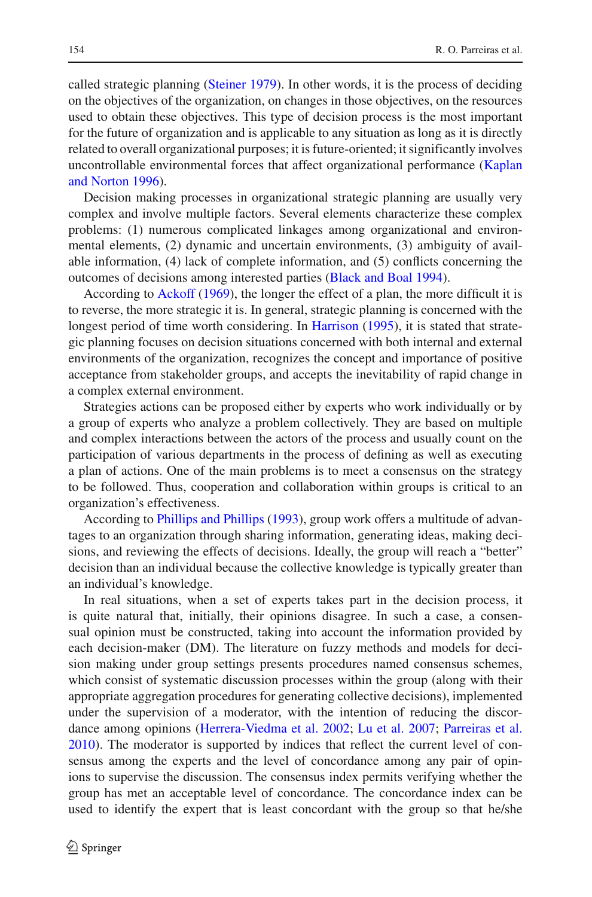called strategic planning [\(Steiner 1979](#page-30-0)). In other words, it is the process of deciding on the objectives of the organization, on changes in those objectives, on the resources used to obtain these objectives. This type of decision process is the most important for the future of organization and is applicable to any situation as long as it is directly related to overall organizational purposes; it is future-oriented; it significantly involves uncontroll[able](#page-29-0) [environmental](#page-29-0) [forces](#page-29-0) [that](#page-29-0) [affect](#page-29-0) [organizational](#page-29-0) [performance](#page-29-0) [\(](#page-29-0)Kaplan and Norton [1996](#page-29-0)).

Decision making processes in organizational strategic planning are usually very complex and involve multiple factors. Several elements characterize these complex problems: (1) numerous complicated linkages among organizational and environmental elements, (2) dynamic and uncertain environments, (3) ambiguity of available information, (4) lack of complete information, and (5) conflicts concerning the outcomes of decisions among interested parties [\(Black and Boal 1994\)](#page-29-1).

According to [Ackoff](#page-29-2) [\(1969\)](#page-29-2), the longer the effect of a plan, the more difficult it is to reverse, the more strategic it is. In general, strategic planning is concerned with the longest period of time worth considering. In [Harrison](#page-29-3) [\(1995\)](#page-29-3), it is stated that strategic planning focuses on decision situations concerned with both internal and external environments of the organization, recognizes the concept and importance of positive acceptance from stakeholder groups, and accepts the inevitability of rapid change in a complex external environment.

Strategies actions can be proposed either by experts who work individually or by a group of experts who analyze a problem collectively. They are based on multiple and complex interactions between the actors of the process and usually count on the participation of various departments in the process of defining as well as executing a plan of actions. One of the main problems is to meet a consensus on the strategy to be followed. Thus, cooperation and collaboration within groups is critical to an organization's effectiveness.

According to [Phillips and Phillips](#page-30-1) [\(1993\)](#page-30-1), group work offers a multitude of advantages to an organization through sharing information, generating ideas, making decisions, and reviewing the effects of decisions. Ideally, the group will reach a "better" decision than an individual because the collective knowledge is typically greater than an individual's knowledge.

In real situations, when a set of experts takes part in the decision process, it is quite natural that, initially, their opinions disagree. In such a case, a consensual opinion must be constructed, taking into account the information provided by each decision-maker (DM). The literature on fuzzy methods and models for decision making under group settings presents procedures named consensus schemes, which consist of systematic discussion processes within the group (along with their appropriate aggregation procedures for generating collective decisions), implemented under the supervision of a moderator, with the intention of reducing the discordance among opinions [\(Herrera-Viedma et al. 2002;](#page-29-4) [Lu et al. 2007](#page-30-2); [Parreiras et al.](#page-30-3) [2010\)](#page-30-3). The moderator is supported by indices that reflect the current level of consensus among the experts and the level of concordance among any pair of opinions to supervise the discussion. The consensus index permits verifying whether the group has met an acceptable level of concordance. The concordance index can be used to identify the expert that is least concordant with the group so that he/she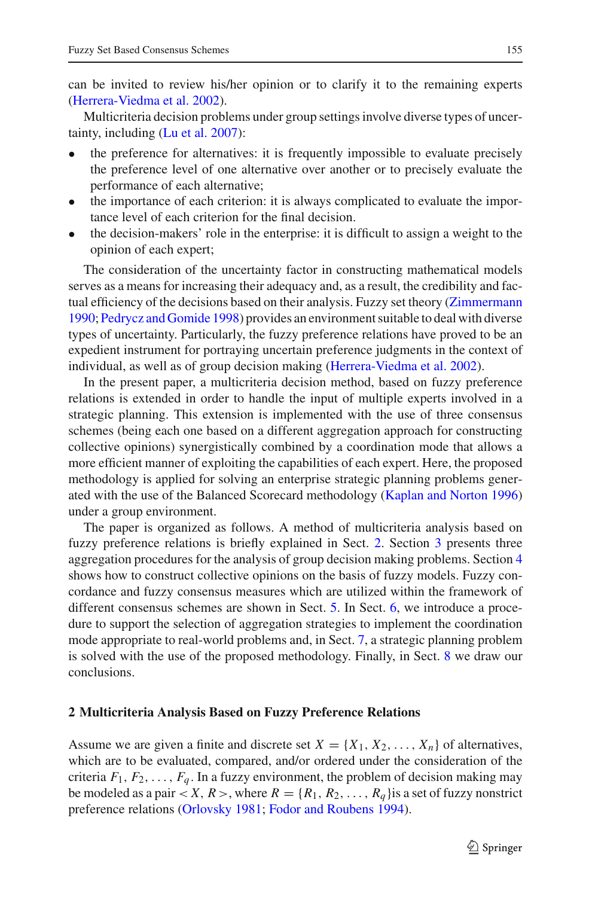can be invited to review his/her opinion or to clarify it to the remaining experts [\(Herrera-Viedma et al. 2002\)](#page-29-4).

Multicriteria decision problems under group settings involve diverse types of uncertainty, including [\(Lu et al. 2007\)](#page-30-2):

- the preference for alternatives: it is frequently impossible to evaluate precisely the preference level of one alternative over another or to precisely evaluate the performance of each alternative;
- the importance of each criterion: it is always complicated to evaluate the importance level of each criterion for the final decision.
- the decision-makers' role in the enterprise: it is difficult to assign a weight to the opinion of each expert;

The consideration of the uncertainty factor in constructing mathematical models serves as a means for increasing their adequacy and, as a result, the credibility and factual efficiency of the decisions based on their analysis. Fuzzy set theory [\(Zimmermann](#page-30-4) [1990;](#page-30-4) [Pedrycz and Gomide 1998\)](#page-30-5) provides an environment suitable to deal with diverse types of uncertainty. Particularly, the fuzzy preference relations have proved to be an expedient instrument for portraying uncertain preference judgments in the context of individual, as well as of group decision making [\(Herrera-Viedma et al. 2002](#page-29-4)).

In the present paper, a multicriteria decision method, based on fuzzy preference relations is extended in order to handle the input of multiple experts involved in a strategic planning. This extension is implemented with the use of three consensus schemes (being each one based on a different aggregation approach for constructing collective opinions) synergistically combined by a coordination mode that allows a more efficient manner of exploiting the capabilities of each expert. Here, the proposed methodology is applied for solving an enterprise strategic planning problems generated with the use of the Balanced Scorecard methodology [\(Kaplan and Norton 1996\)](#page-29-0) under a group environment.

The paper is organized as follows. A method of multicriteria analysis based on fuzzy preference relations is briefly explained in Sect. [2.](#page-2-0) Section [3](#page-6-0) presents three aggregation procedures for the analysis of group decision making problems. Section [4](#page-7-0) shows how to construct collective opinions on the basis of fuzzy models. Fuzzy concordance and fuzzy consensus measures which are utilized within the framework of different consensus schemes are shown in Sect. [5.](#page-10-0) In Sect. [6,](#page-14-0) we introduce a procedure to support the selection of aggregation strategies to implement the coordination mode appropriate to real-world problems and, in Sect. [7,](#page-17-0) a strategic planning problem is solved with the use of the proposed methodology. Finally, in Sect. [8](#page-28-0) we draw our conclusions.

#### <span id="page-2-0"></span>**2 Multicriteria Analysis Based on Fuzzy Preference Relations**

Assume we are given a finite and discrete set  $X = \{X_1, X_2, \ldots, X_n\}$  of alternatives, which are to be evaluated, compared, and/or ordered under the consideration of the criteria  $F_1, F_2, \ldots, F_q$ . In a fuzzy environment, the problem of decision making may be modeled as a pair  $\langle X, R \rangle$ , where  $R = \{R_1, R_2, \ldots, R_q\}$  is a set of fuzzy nonstrict preference relations [\(Orlovsky 1981;](#page-30-6) [Fodor and Roubens 1994](#page-29-5)).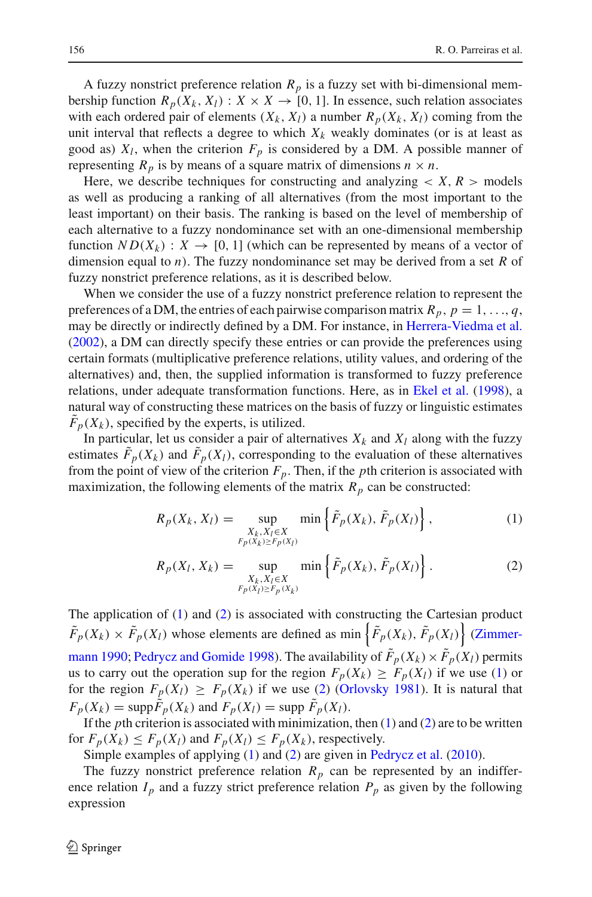A fuzzy nonstrict preference relation  $R_p$  is a fuzzy set with bi-dimensional membership function  $R_p(X_k, X_l) : X \times X \to [0, 1]$ . In essence, such relation associates with each ordered pair of elements  $(X_k, X_l)$  a number  $R_p(X_k, X_l)$  coming from the unit interval that reflects a degree to which  $X_k$  weakly dominates (or is at least as good as)  $X_l$ , when the criterion  $F_p$  is considered by a DM. A possible manner of representing  $R_p$  is by means of a square matrix of dimensions  $n \times n$ .

Here, we describe techniques for constructing and analyzing  $\langle X, R \rangle$  models as well as producing a ranking of all alternatives (from the most important to the least important) on their basis. The ranking is based on the level of membership of each alternative to a fuzzy nondominance set with an one-dimensional membership function  $ND(X_k) : X \to [0, 1]$  (which can be represented by means of a vector of dimension equal to *n*). The fuzzy nondominance set may be derived from a set *R* of fuzzy nonstrict preference relations, as it is described below.

When we consider the use of a fuzzy nonstrict preference relation to represent the preferences of a DM, the entries of each pairwise comparison matrix  $R_p$ ,  $p = 1, \ldots, q$ , may be directly or indirectly defined by a DM. For instance, in [Herrera-Viedma et al.](#page-29-4) [\(2002\)](#page-29-4), a DM can directly specify these entries or can provide the preferences using certain formats (multiplicative preference relations, utility values, and ordering of the alternatives) and, then, the supplied information is transformed to fuzzy preference relations, under adequate transformation functions. Here, as in [Ekel et al.](#page-29-6) [\(1998\)](#page-29-6), a natural way of constructing these matrices on the basis of fuzzy or linguistic estimates  $F_p(X_k)$ , specified by the experts, is utilized.

<span id="page-3-0"></span>In particular, let us consider a pair of alternatives  $X_k$  and  $X_l$  along with the fuzzy estimates  $\tilde{F}_p(X_k)$  and  $\tilde{F}_p(X_l)$ , corresponding to the evaluation of these alternatives from the point of view of the criterion  $F_p$ . Then, if the *p*th criterion is associated with maximization, the following elements of the matrix  $R_p$  can be constructed:

$$
R_p(X_k, X_l) = \sup_{\substack{X_k, X_l \in X \\ F_p(X_k) \ge F_p(X_l)}} \min \left\{ \tilde{F}_p(X_k), \tilde{F}_p(X_l) \right\},\tag{1}
$$

$$
R_p(X_l, X_k) = \sup_{\substack{X_k, X_l \in X \\ F_p(X_l) \ge F_p(X_k)}} \min \left\{ \tilde{F}_p(X_k), \tilde{F}_p(X_l) \right\}.
$$
 (2)

The application of [\(1\)](#page-3-0) and [\(2\)](#page-3-0) is associated with constructing the Cartesian product  $\tilde{F}_p(X_k) \times \tilde{F}_p(X_l)$  [whose](#page-30-4) [elements](#page-30-4) [are](#page-30-4) [defined](#page-30-4) [as](#page-30-4) [min](#page-30-4)  $\left\{ \tilde{F}_p(X_k), \tilde{F}_p(X_l) \right\}$  (Zimmer-mann [1990;](#page-30-4) [Pedrycz and Gomide 1998\)](#page-30-5). The availability of  $\tilde{F}_p(X_k) \times \tilde{F}_p(X_l)$  permits us to carry out the operation sup for the region  $F_p(X_k) \geq F_p(X_l)$  if we use [\(1\)](#page-3-0) or for the region  $F_p(X_l) \geq F_p(X_k)$  if we use [\(2\)](#page-3-0) [\(Orlovsky 1981](#page-30-6)). It is natural that  $F_p(X_k) = \text{supp} F_p(X_k)$  and  $F_p(X_l) = \text{supp} F_p(X_l)$ .

If the *p*th criterion is associated with minimization, then [\(1\)](#page-3-0) and [\(2\)](#page-3-0) are to be written for  $F_p(X_k) \leq F_p(X_l)$  and  $F_p(X_l) \leq F_p(X_k)$ , respectively.

Simple examples of applying [\(1\)](#page-3-0) and [\(2\)](#page-3-0) are given in [Pedrycz et al.](#page-30-7) [\(2010\)](#page-30-7).

The fuzzy nonstrict preference relation  $R_p$  can be represented by an indifference relation  $I_p$  and a fuzzy strict preference relation  $P_p$  as given by the following expression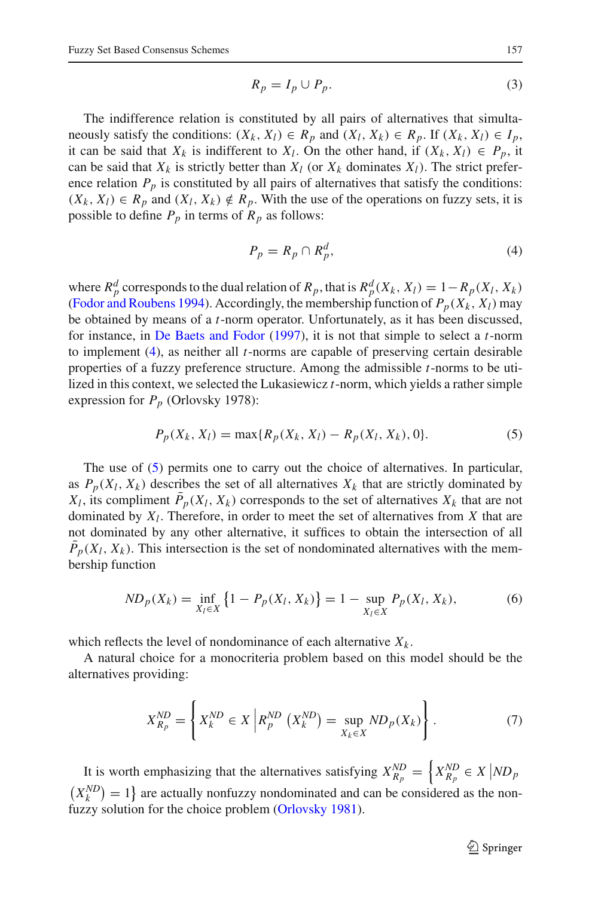$$
R_p = I_p \cup P_p. \tag{3}
$$

The indifference relation is constituted by all pairs of alternatives that simultaneously satisfy the conditions:  $(X_k, X_l) \in R_p$  and  $(X_l, X_k) \in R_p$ . If  $(X_k, X_l) \in I_p$ , it can be said that  $X_k$  is indifferent to  $X_l$ . On the other hand, if  $(X_k, X_l) \in P_p$ , it can be said that  $X_k$  is strictly better than  $X_l$  (or  $X_k$  dominates  $X_l$ ). The strict preference relation  $P_p$  is constituted by all pairs of alternatives that satisfy the conditions:  $(X_k, X_l) \in R_p$  and  $(X_l, X_k) \notin R_p$ . With the use of the operations on fuzzy sets, it is possible to define  $P_p$  in terms of  $R_p$  as follows:

$$
P_p = R_p \cap R_p^d,\tag{4}
$$

<span id="page-4-0"></span>where  $R_p^d$  corresponds to the dual relation of  $R_p$ , that is  $R_p^d(X_k, X_l) = 1 - R_p(X_l, X_k)$ [\(Fodor and Roubens 1994](#page-29-5)). Accordingly, the membership function of  $P_p(X_k, X_l)$  may be obtained by means of a *t*-norm operator. Unfortunately, as it has been discussed, for instance, in [De Baets and Fodor](#page-29-7) [\(1997](#page-29-7)), it is not that simple to select a *t*-norm to implement [\(4\)](#page-4-0), as neither all *t*-norms are capable of preserving certain desirable properties of a fuzzy preference structure. Among the admissible *t*-norms to be utilized in this context, we selected the Lukasiewicz *t*-norm, which yields a rather simple expression for  $P_p$  (Orlovsky 1978):

$$
P_p(X_k, X_l) = \max\{R_p(X_k, X_l) - R_p(X_l, X_k), 0\}.
$$
 (5)

<span id="page-4-1"></span>The use of [\(5\)](#page-4-1) permits one to carry out the choice of alternatives. In particular, as  $P_p(X_l, X_k)$  describes the set of all alternatives  $X_k$  that are strictly dominated by  $X_l$ , its compliment  $\bar{P}_p(X_l, X_k)$  corresponds to the set of alternatives  $X_k$  that are not dominated by  $X_l$ . Therefore, in order to meet the set of alternatives from  $X$  that are not dominated by any other alternative, it suffices to obtain the intersection of all  $P_p(X_l, X_k)$ . This intersection is the set of nondominated alternatives with the membership function

$$
ND_p(X_k) = \inf_{X_l \in X} \left\{ 1 - P_p(X_l, X_k) \right\} = 1 - \sup_{X_l \in X} P_p(X_l, X_k), \tag{6}
$$

<span id="page-4-3"></span>which reflects the level of nondominance of each alternative  $X_k$ .

A natural choice for a monocriteria problem based on this model should be the alternatives providing:

$$
X_{R_p}^{ND} = \left\{ X_k^{ND} \in X \left| R_p^{ND} \left( X_k^{ND} \right) = \sup_{X_k \in X} N D_p(X_k) \right\}.
$$
 (7)

<span id="page-4-2"></span>It is worth emphasizing that the alternatives satisfying  $X_{R_p}^{ND} = \left\{ X_{R_p}^{ND} \in X \middle| ND_p \right\}$  $(X_k^{ND}) = 1$  are actually nonfuzzy nondominated and can be considered as the non-fuzzy solution for the choice problem [\(Orlovsky 1981](#page-30-6)).

 $\mathcal{L}$  Springer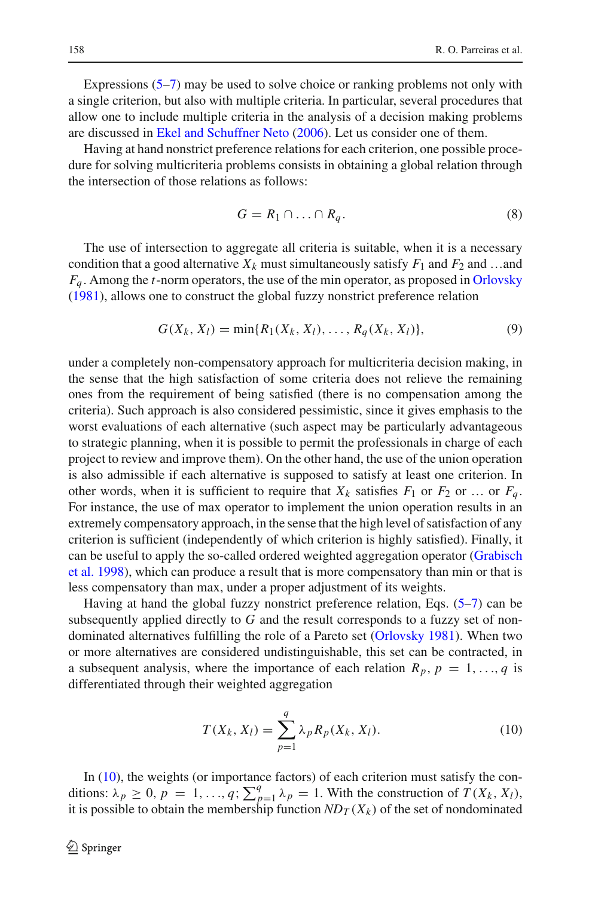Expressions [\(5](#page-4-1)[–7\)](#page-4-2) may be used to solve choice or ranking problems not only with a single criterion, but also with multiple criteria. In particular, several procedures that allow one to include multiple criteria in the analysis of a decision making problems are discussed in [Ekel and Schuffner Neto](#page-29-8) [\(2006](#page-29-8)). Let us consider one of them.

Having at hand nonstrict preference relations for each criterion, one possible procedure for solving multicriteria problems consists in obtaining a global relation through the intersection of those relations as follows:

$$
G = R_1 \cap \ldots \cap R_q. \tag{8}
$$

The use of intersection to aggregate all criteria is suitable, when it is a necessary condition that a good alternative  $X_k$  must simultaneously satisfy  $F_1$  and  $F_2$  and ...and *Fq* . Among the *t*-norm operators, the use of the min operator, as proposed in [Orlovsky](#page-30-6) [\(1981\)](#page-30-6), allows one to construct the global fuzzy nonstrict preference relation

$$
G(X_k, X_l) = \min\{R_1(X_k, X_l), \dots, R_q(X_k, X_l)\},\tag{9}
$$

<span id="page-5-1"></span>under a completely non-compensatory approach for multicriteria decision making, in the sense that the high satisfaction of some criteria does not relieve the remaining ones from the requirement of being satisfied (there is no compensation among the criteria). Such approach is also considered pessimistic, since it gives emphasis to the worst evaluations of each alternative (such aspect may be particularly advantageous to strategic planning, when it is possible to permit the professionals in charge of each project to review and improve them). On the other hand, the use of the union operation is also admissible if each alternative is supposed to satisfy at least one criterion. In other words, when it is sufficient to require that  $X_k$  satisfies  $F_1$  or  $F_2$  or ... or  $F_q$ . For instance, the use of max operator to implement the union operation results in an extremely compensatory approach, in the sense that the high level of satisfaction of any criterion is sufficient (independently of which criterion is highly satisfied). Finally, it can [be](#page-29-9) [useful](#page-29-9) [to](#page-29-9) [apply](#page-29-9) [the](#page-29-9) [so-called](#page-29-9) [ordered](#page-29-9) [weighted](#page-29-9) [aggregation](#page-29-9) [operator](#page-29-9) [\(](#page-29-9)Grabisch et al. [1998](#page-29-9)), which can produce a result that is more compensatory than min or that is less compensatory than max, under a proper adjustment of its weights.

Having at hand the global fuzzy nonstrict preference relation, Eqs. [\(5](#page-4-1)[–7\)](#page-4-2) can be subsequently applied directly to *G* and the result corresponds to a fuzzy set of nondominated alternatives fulfilling the role of a Pareto set [\(Orlovsky 1981\)](#page-30-6). When two or more alternatives are considered undistinguishable, this set can be contracted, in a subsequent analysis, where the importance of each relation  $R_p$ ,  $p = 1, \ldots, q$  is differentiated through their weighted aggregation

$$
T(X_k, X_l) = \sum_{p=1}^{q} \lambda_p R_p(X_k, X_l).
$$
 (10)

<span id="page-5-0"></span>In [\(10\)](#page-5-0), the weights (or importance factors) of each criterion must satisfy the conditions:  $\lambda_p \geq 0$ ,  $p = 1, ..., q$ ;  $\sum_{p=1}^{q} \lambda_p = 1$ . With the construction of  $T(X_k, X_l)$ , it is possible to obtain the membership function  $ND_T(X_k)$  of the set of nondominated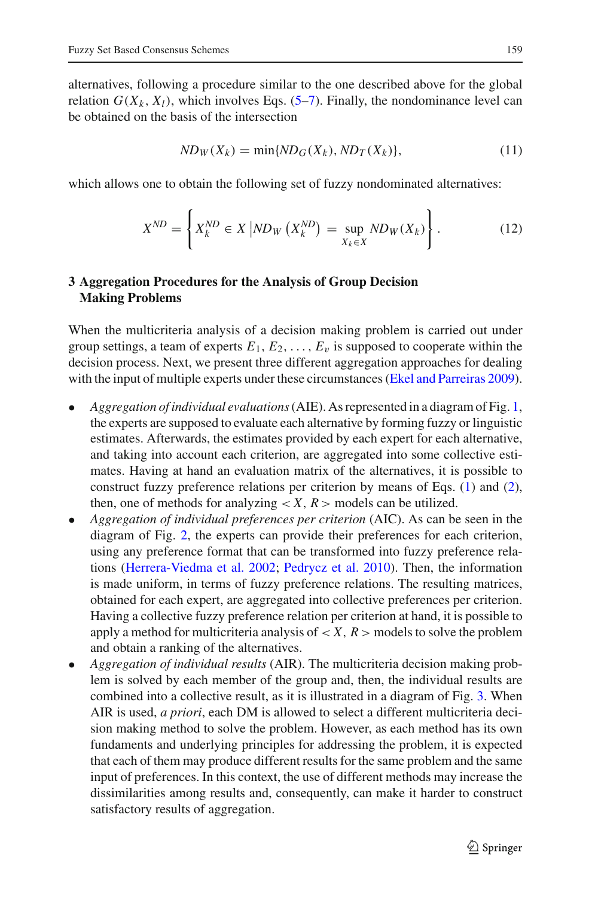alternatives, following a procedure similar to the one described above for the global relation  $G(X_k, X_l)$ , which involves Eqs. [\(5](#page-4-1)[–7\)](#page-4-2). Finally, the nondominance level can be obtained on the basis of the intersection

$$
ND_W(X_k) = \min\{ND_G(X_k), ND_T(X_k)\},\tag{11}
$$

<span id="page-6-1"></span>which allows one to obtain the following set of fuzzy nondominated alternatives:

$$
X^{ND} = \left\{ X_k^{ND} \in X \left| ND_W \left( X_k^{ND} \right) \right. = \sup_{X_k \in X} ND_W(X_k) \right\}.
$$
 (12)

# <span id="page-6-0"></span>**3 Aggregation Procedures for the Analysis of Group Decision Making Problems**

When the multicriteria analysis of a decision making problem is carried out under group settings, a team of experts  $E_1, E_2, \ldots, E_v$  is supposed to cooperate within the decision process. Next, we present three different aggregation approaches for dealing with the input of multiple experts under these circumstances [\(Ekel and Parreiras 2009](#page-29-10)).

- *Aggregation of individual evaluations*(AIE). As represented in a diagram of Fig. [1,](#page-7-1) the experts are supposed to evaluate each alternative by forming fuzzy or linguistic estimates. Afterwards, the estimates provided by each expert for each alternative, and taking into account each criterion, are aggregated into some collective estimates. Having at hand an evaluation matrix of the alternatives, it is possible to construct fuzzy preference relations per criterion by means of Eqs. [\(1\)](#page-3-0) and [\(2\)](#page-3-0), then, one of methods for analyzing  $\langle X, R \rangle$  models can be utilized.
- *Aggregation of individual preferences per criterion* (AIC). As can be seen in the diagram of Fig. [2,](#page-8-0) the experts can provide their preferences for each criterion, using any preference format that can be transformed into fuzzy preference relations [\(Herrera-Viedma et al. 2002;](#page-29-4) [Pedrycz et al. 2010\)](#page-30-7). Then, the information is made uniform, in terms of fuzzy preference relations. The resulting matrices, obtained for each expert, are aggregated into collective preferences per criterion. Having a collective fuzzy preference relation per criterion at hand, it is possible to apply a method for multicriteria analysis of  $\lt X$ ,  $R$  > models to solve the problem and obtain a ranking of the alternatives.
- *Aggregation of individual results* (AIR). The multicriteria decision making problem is solved by each member of the group and, then, the individual results are combined into a collective result, as it is illustrated in a diagram of Fig. [3.](#page-8-1) When AIR is used, *a priori*, each DM is allowed to select a different multicriteria decision making method to solve the problem. However, as each method has its own fundaments and underlying principles for addressing the problem, it is expected that each of them may produce different results for the same problem and the same input of preferences. In this context, the use of different methods may increase the dissimilarities among results and, consequently, can make it harder to construct satisfactory results of aggregation.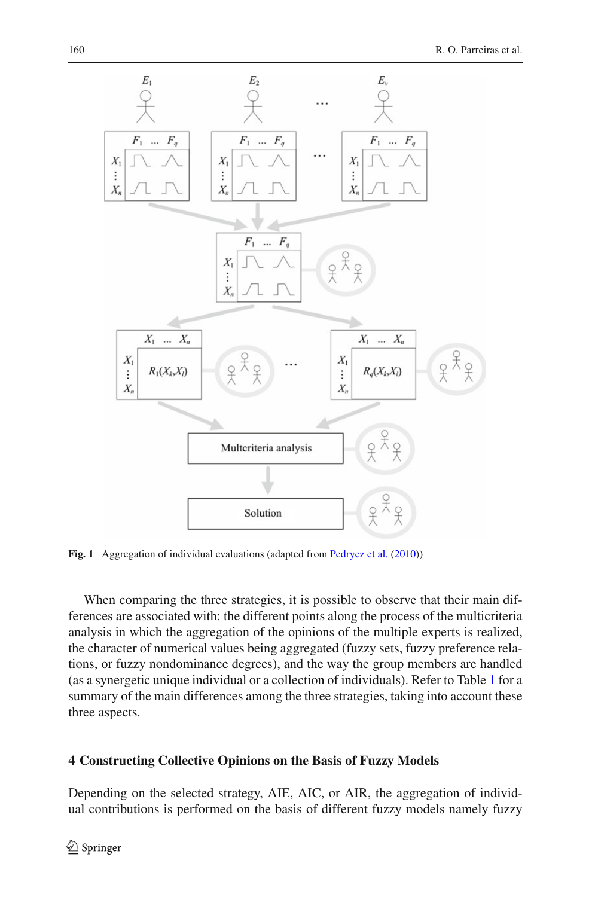

<span id="page-7-1"></span>**Fig. 1** Aggregation of individual evaluations (adapted from [Pedrycz et al.](#page-30-7) [\(2010\)](#page-30-7))

When comparing the three strategies, it is possible to observe that their main differences are associated with: the different points along the process of the multicriteria analysis in which the aggregation of the opinions of the multiple experts is realized, the character of numerical values being aggregated (fuzzy sets, fuzzy preference relations, or fuzzy nondominance degrees), and the way the group members are handled (as a synergetic unique individual or a collection of individuals). Refer to Table [1](#page-9-0) for a summary of the main differences among the three strategies, taking into account these three aspects.

# <span id="page-7-0"></span>**4 Constructing Collective Opinions on the Basis of Fuzzy Models**

Depending on the selected strategy, AIE, AIC, or AIR, the aggregation of individual contributions is performed on the basis of different fuzzy models namely fuzzy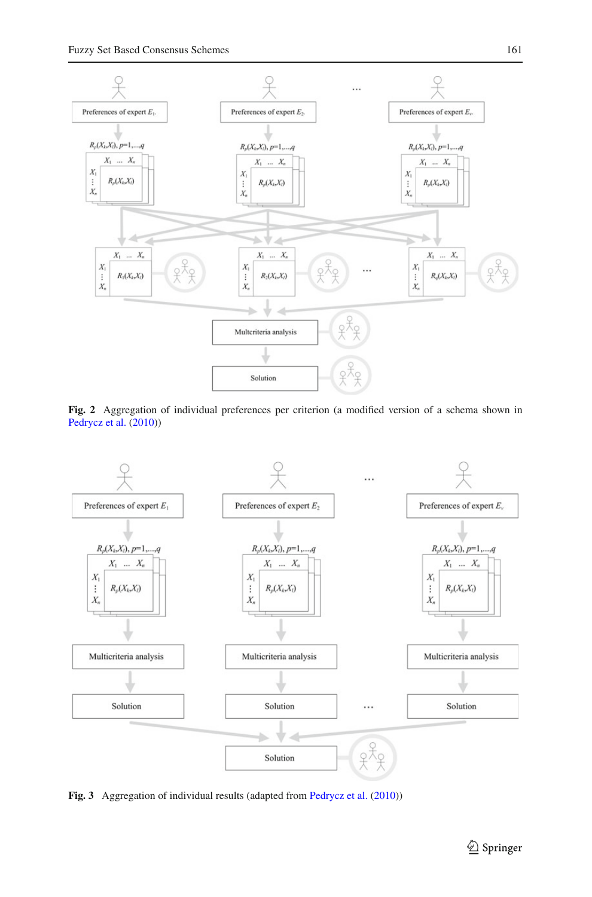

**Fig. 2** Aggregation of individual preferences per criterion (a modified version of a schema shown in [Pedrycz et al.](#page-30-7) [\(2010](#page-30-7)))

<span id="page-8-0"></span>

<span id="page-8-1"></span>**Fig. 3** Aggregation of individual results (adapted from [Pedrycz et al.](#page-30-7) [\(2010\)](#page-30-7))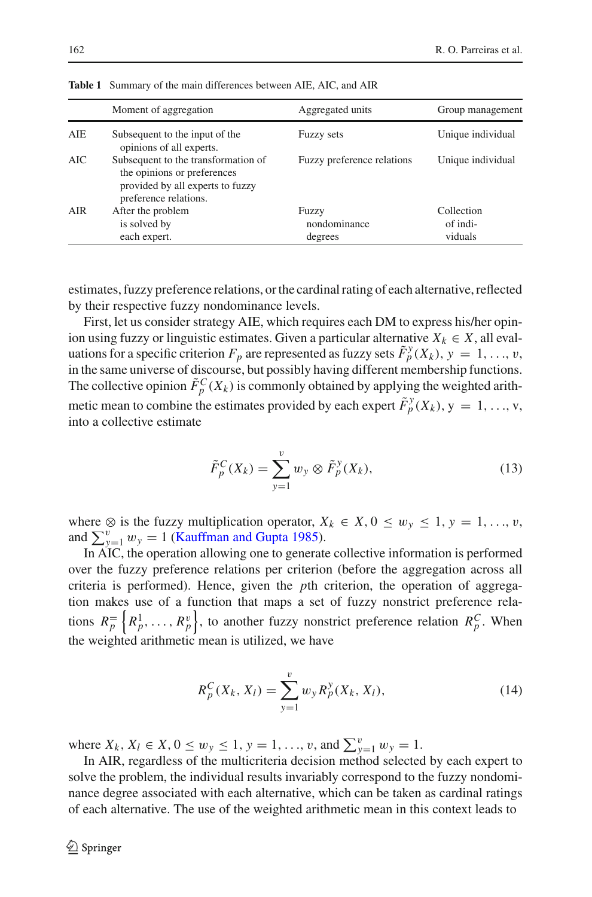<span id="page-9-0"></span>

|     | Moment of aggregation                                                                                                           | Aggregated units                 | Group management                  |
|-----|---------------------------------------------------------------------------------------------------------------------------------|----------------------------------|-----------------------------------|
| AIE | Subsequent to the input of the<br>opinions of all experts.                                                                      | <b>Fuzzy sets</b>                | Unique individual                 |
| AIC | Subsequent to the transformation of<br>the opinions or preferences<br>provided by all experts to fuzzy<br>preference relations. | Fuzzy preference relations       | Unique individual                 |
| AIR | After the problem<br>is solved by<br>each expert.                                                                               | Fuzzy<br>nondominance<br>degrees | Collection<br>of indi-<br>viduals |

**Table 1** Summary of the main differences between AIE, AIC, and AIR

estimates, fuzzy preference relations, or the cardinal rating of each alternative, reflected by their respective fuzzy nondominance levels.

First, let us consider strategy AIE, which requires each DM to express his/her opinion using fuzzy or linguistic estimates. Given a particular alternative  $X_k \in X$ , all evaluations for a specific criterion  $F_p$  are represented as fuzzy sets  $\tilde{F}_p^y(X_k)$ ,  $y = 1, ..., v$ , in the same universe of discourse, but possibly having different membership functions. The collective opinion  $\tilde{F}_p^C(X_k)$  is commonly obtained by applying the weighted arithmetic mean to combine the estimates provided by each expert  $\tilde{F}_p^y(X_k)$ ,  $y = 1, ..., v$ , into a collective estimate

$$
\tilde{F}_p^C(X_k) = \sum_{y=1}^v w_y \otimes \tilde{F}_p^y(X_k),\tag{13}
$$

where  $\otimes$  is the fuzzy multiplication operator,  $X_k \in X$ ,  $0 \le w_y \le 1$ ,  $y = 1, ..., v$ , and  $\sum_{y=1}^{v} w_y = 1$  [\(Kauffman and Gupta 1985\)](#page-29-11).

In AIC, the operation allowing one to generate collective information is performed over the fuzzy preference relations per criterion (before the aggregation across all criteria is performed). Hence, given the *p*th criterion, the operation of aggregation makes use of a function that maps a set of fuzzy nonstrict preference relations  $R_p^{\equiv} \left\{ R_p^1, \ldots, R_p^v \right\}$ , to another fuzzy nonstrict preference relation  $R_p^C$ . When the weighted arithmetic mean is utilized, we have

$$
R_p^C(X_k, X_l) = \sum_{y=1}^v w_y R_p^y(X_k, X_l), \qquad (14)
$$

<span id="page-9-1"></span>where  $X_k, X_l \in X, 0 \le w_y \le 1, y = 1, \ldots, v$ , and  $\sum_{y=1}^{v} w_y = 1$ .

In AIR, regardless of the multicriteria decision method selected by each expert to solve the problem, the individual results invariably correspond to the fuzzy nondominance degree associated with each alternative, which can be taken as cardinal ratings of each alternative. The use of the weighted arithmetic mean in this context leads to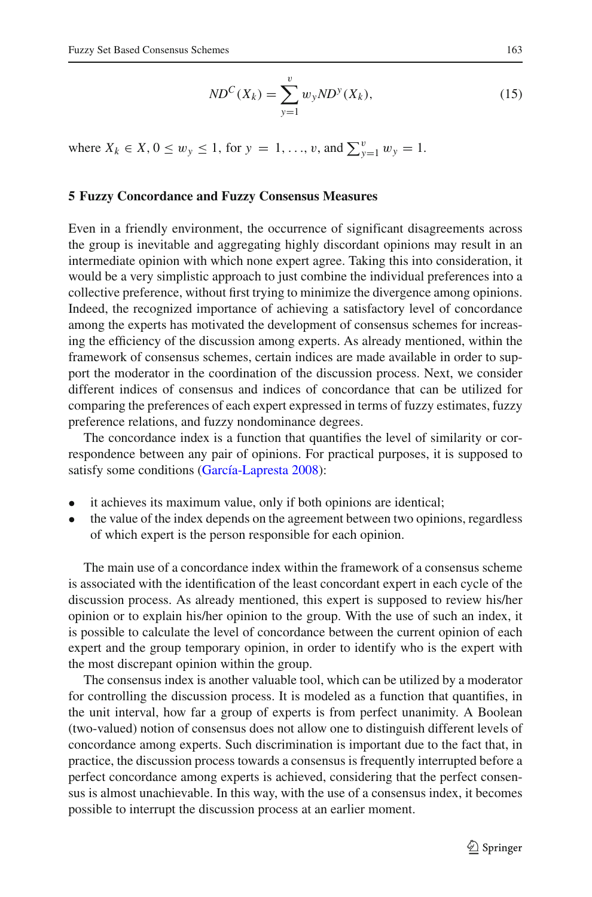$$
ND^{C}(X_{k}) = \sum_{y=1}^{v} w_{y}ND^{y}(X_{k}),
$$
\n(15)

<span id="page-10-1"></span>where  $X_k \in X$ ,  $0 \le w_y \le 1$ , for  $y = 1, ..., v$ , and  $\sum_{y=1}^{v} w_y = 1$ .

#### <span id="page-10-0"></span>**5 Fuzzy Concordance and Fuzzy Consensus Measures**

Even in a friendly environment, the occurrence of significant disagreements across the group is inevitable and aggregating highly discordant opinions may result in an intermediate opinion with which none expert agree. Taking this into consideration, it would be a very simplistic approach to just combine the individual preferences into a collective preference, without first trying to minimize the divergence among opinions. Indeed, the recognized importance of achieving a satisfactory level of concordance among the experts has motivated the development of consensus schemes for increasing the efficiency of the discussion among experts. As already mentioned, within the framework of consensus schemes, certain indices are made available in order to support the moderator in the coordination of the discussion process. Next, we consider different indices of consensus and indices of concordance that can be utilized for comparing the preferences of each expert expressed in terms of fuzzy estimates, fuzzy preference relations, and fuzzy nondominance degrees.

The concordance index is a function that quantifies the level of similarity or correspondence between any pair of opinions. For practical purposes, it is supposed to satisfy some conditions [\(García-Lapresta 2008\)](#page-29-12):

- it achieves its maximum value, only if both opinions are identical;
- the value of the index depends on the agreement between two opinions, regardless of which expert is the person responsible for each opinion.

The main use of a concordance index within the framework of a consensus scheme is associated with the identification of the least concordant expert in each cycle of the discussion process. As already mentioned, this expert is supposed to review his/her opinion or to explain his/her opinion to the group. With the use of such an index, it is possible to calculate the level of concordance between the current opinion of each expert and the group temporary opinion, in order to identify who is the expert with the most discrepant opinion within the group.

The consensus index is another valuable tool, which can be utilized by a moderator for controlling the discussion process. It is modeled as a function that quantifies, in the unit interval, how far a group of experts is from perfect unanimity. A Boolean (two-valued) notion of consensus does not allow one to distinguish different levels of concordance among experts. Such discrimination is important due to the fact that, in practice, the discussion process towards a consensus is frequently interrupted before a perfect concordance among experts is achieved, considering that the perfect consensus is almost unachievable. In this way, with the use of a consensus index, it becomes possible to interrupt the discussion process at an earlier moment.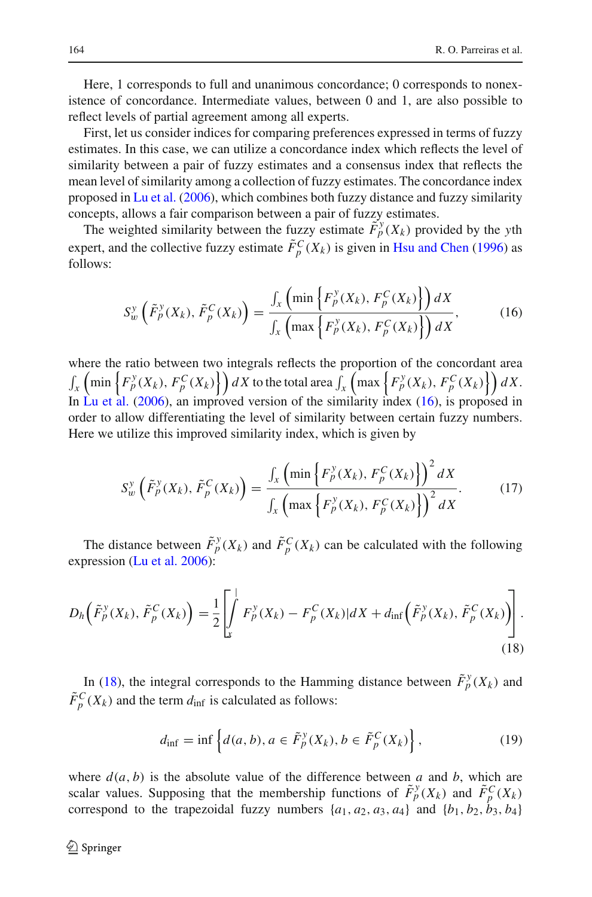Here, 1 corresponds to full and unanimous concordance; 0 corresponds to nonexistence of concordance. Intermediate values, between 0 and 1, are also possible to reflect levels of partial agreement among all experts.

First, let us consider indices for comparing preferences expressed in terms of fuzzy estimates. In this case, we can utilize a concordance index which reflects the level of similarity between a pair of fuzzy estimates and a consensus index that reflects the mean level of similarity among a collection of fuzzy estimates. The concordance index proposed in [Lu et al.](#page-30-8) [\(2006](#page-30-8)), which combines both fuzzy distance and fuzzy similarity concepts, allows a fair comparison between a pair of fuzzy estimates.

The weighted similarity between the fuzzy estimate  $\tilde{F}_p^y(X_k)$  provided by the *y*th expert, and the collective fuzzy estimate  $\tilde{F}_p^C(X_k)$  is given in [Hsu and Chen](#page-29-13) [\(1996\)](#page-29-13) as follows:

$$
S_w^y\left(\tilde{F}_p^y(X_k), \tilde{F}_p^C(X_k)\right) = \frac{\int_x \left(\min\left\{F_p^y(X_k), F_p^C(X_k)\right\}\right) dX}{\int_x \left(\max\left\{F_p^y(X_k), F_p^C(X_k)\right\}\right) dX},\tag{16}
$$

<span id="page-11-0"></span>where the ratio between two integrals reflects the proportion of the concordant area  $\int_X \left( \min \left\{ F_p^y(X_k), F_p^C(X_k) \right\} \right) dX$  to the total area  $\int_X \left( \max \left\{ F_p^y(X_k), F_p^C(X_k) \right\} \right) dX$ . In [Lu et al.](#page-30-8) [\(2006](#page-30-8)), an improved version of the similarity index [\(16\)](#page-11-0), is proposed in order to allow differentiating the level of similarity between certain fuzzy numbers. Here we utilize this improved similarity index, which is given by

$$
S_w^y\left(\tilde{F}_p^y(X_k),\tilde{F}_p^C(X_k)\right) = \frac{\int_x \left(\min\left\{F_p^y(X_k),\,F_p^C(X_k)\right\}\right)^2 dX}{\int_x \left(\max\left\{F_p^y(X_k),\,F_p^C(X_k)\right\}\right)^2 dX}.\tag{17}
$$

The distance between  $\tilde{F}_p^y(X_k)$  and  $\tilde{F}_p^C(X_k)$  can be calculated with the following expression [\(Lu et al. 2006](#page-30-8)):

<span id="page-11-1"></span>
$$
D_h\left(\tilde{F}_p^y(X_k), \tilde{F}_p^C(X_k)\right) = \frac{1}{2} \left[ \int\limits_X^1 F_p^y(X_k) - F_p^C(X_k) \, dX + d_{\inf}\left(\tilde{F}_p^y(X_k), \tilde{F}_p^C(X_k)\right) \right].\tag{18}
$$

In [\(18\)](#page-11-1), the integral corresponds to the Hamming distance between  $\tilde{F}_p^y(X_k)$  and  $\tilde{F}_p^C(X_k)$  and the term  $d_{\text{inf}}$  is calculated as follows:

$$
d_{\inf} = \inf \left\{ d(a, b), a \in \tilde{F}_p^y(X_k), b \in \tilde{F}_p^C(X_k) \right\},\tag{19}
$$

<span id="page-11-2"></span>where  $d(a, b)$  is the absolute value of the difference between a and b, which are scalar values. Supposing that the membership functions of  $\tilde{F}_p^y(X_k)$  and  $\tilde{F}_p^C(X_k)$ correspond to the trapezoidal fuzzy numbers  $\{a_1, a_2, a_3, a_4\}$  and  $\{b_1, b_2, b_3, b_4\}$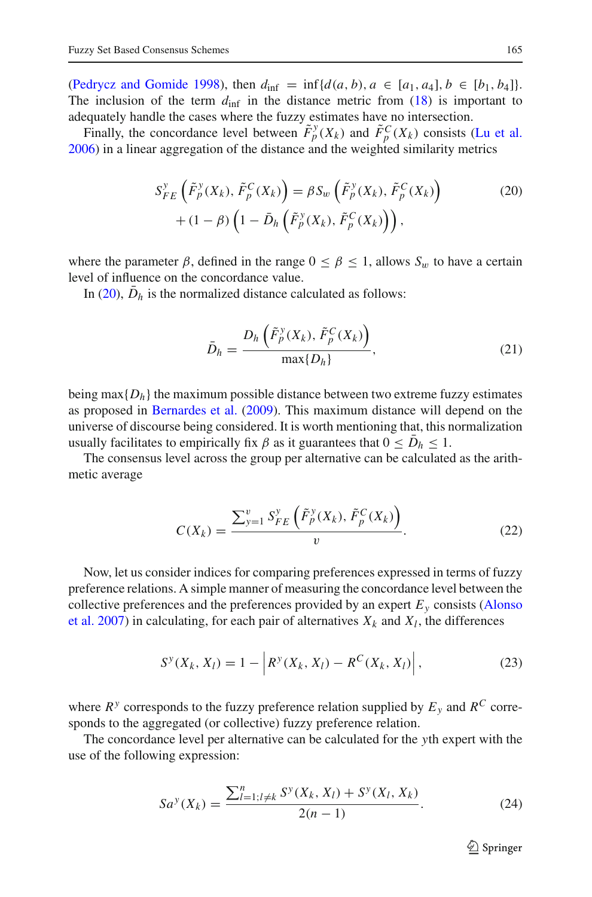[\(Pedrycz and Gomide 1998](#page-30-5)), then  $d_{\text{inf}} = \inf \{d(a, b), a \in [a_1, a_4], b \in [b_1, b_4]\}.$ The inclusion of the term  $d_{\text{inf}}$  in the distance metric from  $(18)$  is important to adequately handle the cases where the fuzzy estimates have no intersection.

<span id="page-12-0"></span>Finally, the concordance level between  $\tilde{F}_p^y(X_k)$  and  $\tilde{F}_p^C(X_k)$  consists [\(Lu et al.](#page-30-8) [2006\)](#page-30-8) in a linear aggregation of the distance and the weighted similarity metrics

$$
S_{FE}^{y}\left(\tilde{F}_{p}^{y}(X_{k}),\tilde{F}_{p}^{C}(X_{k})\right) = \beta S_{w}\left(\tilde{F}_{p}^{y}(X_{k}),\tilde{F}_{p}^{C}(X_{k})\right) \tag{20}
$$

$$
+(1-\beta)\left(1-\bar{D}_{h}\left(\tilde{F}_{p}^{y}(X_{k}),\tilde{F}_{p}^{C}(X_{k})\right)\right),
$$

where the parameter  $\beta$ , defined in the range  $0 \leq \beta \leq 1$ , allows  $S_w$  to have a certain level of influence on the concordance value.

In  $(20)$ ,  $D<sub>h</sub>$  is the normalized distance calculated as follows:

$$
\bar{D}_h = \frac{D_h\left(\tilde{F}_p^y(X_k), \tilde{F}_p^C(X_k)\right)}{\max\{D_h\}},\tag{21}
$$

being max $\{D_h\}$  the maximum possible distance between two extreme fuzzy estimates as proposed in [Bernardes et al.](#page-29-14) [\(2009\)](#page-29-14). This maximum distance will depend on the universe of discourse being considered. It is worth mentioning that, this normalization usually facilitates to empirically fix  $\beta$  as it guarantees that  $0 \leq D_h \leq 1$ .

The consensus level across the group per alternative can be calculated as the arithmetic average

$$
C(X_k) = \frac{\sum_{y=1}^{v} S_{FE}^{y} (\tilde{F}_p^y(X_k), \tilde{F}_p^C(X_k))}{v}.
$$
 (22)

Now, let us consider indices for comparing preferences expressed in terms of fuzzy preference relations. A simple manner of measuring the concordance level between the coll[ective](#page-29-15) [preferences](#page-29-15) [and](#page-29-15) [the](#page-29-15) preferences [provided](#page-29-15) [by](#page-29-15) [an](#page-29-15) [expert](#page-29-15)  $E<sub>v</sub>$  consists (Alonso et al. [2007\)](#page-29-15) in calculating, for each pair of alternatives  $X_k$  and  $X_l$ , the differences

$$
S^{y}(X_{k}, X_{l}) = 1 - \left| R^{y}(X_{k}, X_{l}) - R^{C}(X_{k}, X_{l}) \right|,
$$
\n(23)

<span id="page-12-1"></span>where  $R^y$  corresponds to the fuzzy preference relation supplied by  $E_y$  and  $R^C$  corresponds to the aggregated (or collective) fuzzy preference relation.

<span id="page-12-2"></span>The concordance level per alternative can be calculated for the *y*th expert with the use of the following expression:

$$
Sa^{y}(X_k) = \frac{\sum_{l=1; l \neq k}^{n} S^{y}(X_k, X_l) + S^{y}(X_l, X_k)}{2(n-1)}.
$$
\n(24)

 $\mathcal{D}$  Springer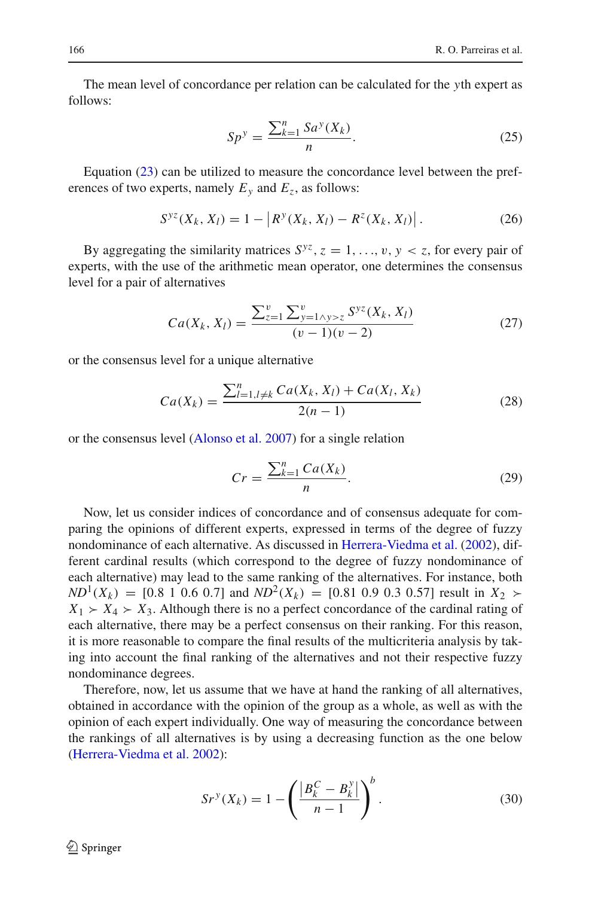The mean level of concordance per relation can be calculated for the *y*th expert as follows:

$$
Sp^{y} = \frac{\sum_{k=1}^{n} Sa^{y}(X_k)}{n}.
$$
 (25)

<span id="page-13-5"></span>Equation [\(23\)](#page-12-1) can be utilized to measure the concordance level between the preferences of two experts, namely  $E_y$  and  $E_z$ , as follows:

$$
S^{yz}(X_k, X_l) = 1 - \left| R^y(X_k, X_l) - R^z(X_k, X_l) \right|.
$$
 (26)

<span id="page-13-1"></span>By aggregating the similarity matrices  $S^{yz}$ ,  $z = 1, \ldots, v$ ,  $y < z$ , for every pair of experts, with the use of the arithmetic mean operator, one determines the consensus level for a pair of alternatives

$$
Ca(X_k, X_l) = \frac{\sum_{z=1}^{v} \sum_{y=1 \land y > z}^{v} S^{yz}(X_k, X_l)}{(v-1)(v-2)}
$$
(27)

<span id="page-13-2"></span>or the consensus level for a unique alternative

$$
Ca(X_k) = \frac{\sum_{l=1, l \neq k}^{n} Ca(X_k, X_l) + Ca(X_l, X_k)}{2(n-1)}
$$
(28)

<span id="page-13-4"></span><span id="page-13-3"></span>or the consensus level [\(Alonso et al. 2007\)](#page-29-15) for a single relation

$$
Cr = \frac{\sum_{k=1}^{n} Ca(X_k)}{n}.
$$
\n(29)

Now, let us consider indices of concordance and of consensus adequate for comparing the opinions of different experts, expressed in terms of the degree of fuzzy nondominance of each alternative. As discussed in [Herrera-Viedma et al.](#page-29-4) [\(2002](#page-29-4)), different cardinal results (which correspond to the degree of fuzzy nondominance of each alternative) may lead to the same ranking of the alternatives. For instance, both  $ND<sup>1</sup>(X<sub>k</sub>) = [0.8 1 0.6 0.7]$  and  $ND<sup>2</sup>(X<sub>k</sub>) = [0.81 0.9 0.3 0.57]$  result in  $X<sub>2</sub>$  $X_1 \rightarrow X_4 \rightarrow X_3$ . Although there is no a perfect concordance of the cardinal rating of each alternative, there may be a perfect consensus on their ranking. For this reason, it is more reasonable to compare the final results of the multicriteria analysis by taking into account the final ranking of the alternatives and not their respective fuzzy nondominance degrees.

Therefore, now, let us assume that we have at hand the ranking of all alternatives, obtained in accordance with the opinion of the group as a whole, as well as with the opinion of each expert individually. One way of measuring the concordance between the rankings of all alternatives is by using a decreasing function as the one below [\(Herrera-Viedma et al. 2002\)](#page-29-4):

$$
Sr^{y}(X_{k}) = 1 - \left(\frac{|B_{k}^{C} - B_{k}^{y}|}{n - 1}\right)^{b}.
$$
 (30)

<span id="page-13-0"></span> $\circled{2}$  Springer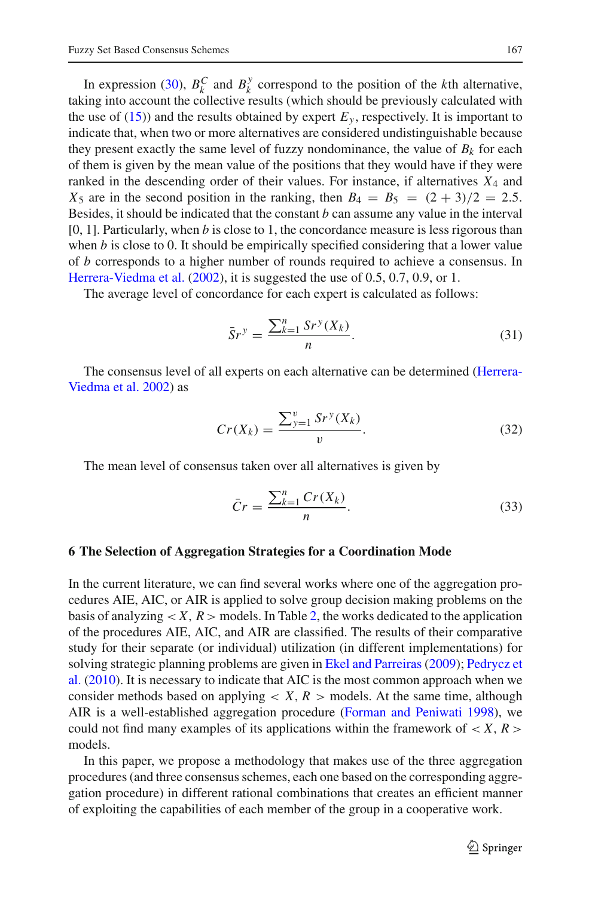In expression [\(30\)](#page-13-0),  $B_k^C$  and  $B_k^y$  correspond to the position of the *k*th alternative, taking into account the collective results (which should be previously calculated with the use of  $(15)$ ) and the results obtained by expert  $E_y$ , respectively. It is important to indicate that, when two or more alternatives are considered undistinguishable because they present exactly the same level of fuzzy nondominance, the value of  $B_k$  for each of them is given by the mean value of the positions that they would have if they were ranked in the descending order of their values. For instance, if alternatives  $X_4$  and  $X_5$  are in the second position in the ranking, then  $B_4 = B_5 = (2 + 3)/2 = 2.5$ . Besides, it should be indicated that the constant *b* can assume any value in the interval [0, 1]. Particularly, when *b* is close to 1, the concordance measure is less rigorous than when *b* is close to 0. It should be empirically specified considering that a lower value of *b* corresponds to a higher number of rounds required to achieve a consensus. In [Herrera-Viedma et al.](#page-29-4) [\(2002\)](#page-29-4), it is suggested the use of 0.5, 0.7, 0.9, or 1.

<span id="page-14-1"></span>The average level of concordance for each expert is calculated as follows:

$$
\bar{S}r^{y} = \frac{\sum_{k=1}^{n} Sr^{y}(X_k)}{n}.
$$
\n(31)

The conse[nsus](#page-29-4) [level](#page-29-4) [of](#page-29-4) [all](#page-29-4) [experts](#page-29-4) [on](#page-29-4) [each](#page-29-4) [alternative](#page-29-4) [can](#page-29-4) [be](#page-29-4) [determined](#page-29-4) [\(](#page-29-4)Herrera-Viedma et al. [2002\)](#page-29-4) as

$$
Cr(X_k) = \frac{\sum_{y=1}^{v} Sr^y(X_k)}{v}.
$$
\n(32)

<span id="page-14-3"></span><span id="page-14-2"></span>The mean level of consensus taken over all alternatives is given by

$$
\bar{C}r = \frac{\sum_{k=1}^{n} Cr(X_k)}{n}.
$$
\n(33)

#### <span id="page-14-0"></span>**6 The Selection of Aggregation Strategies for a Coordination Mode**

In the current literature, we can find several works where one of the aggregation procedures AIE, AIC, or AIR is applied to solve group decision making problems on the basis of analyzing  $\lt X$ ,  $R$  > models. In Table [2,](#page-15-0) the works dedicated to the application of the procedures AIE, AIC, and AIR are classified. The results of their comparative study for their separate (or individual) utilization (in different implementations) for so[lving](#page-30-7) [strategic](#page-30-7) [planning](#page-30-7) [problems](#page-30-7) [are](#page-30-7) [given](#page-30-7) [in](#page-30-7) [Ekel and Parreiras](#page-29-10) [\(2009\)](#page-29-10); Pedrycz et al. [\(2010\)](#page-30-7). It is necessary to indicate that AIC is the most common approach when we consider methods based on applying  $\langle X, R \rangle$  models. At the same time, although AIR is a well-established aggregation procedure [\(Forman and Peniwati 1998\)](#page-29-16), we could not find many examples of its applications within the framework of  $\langle X, R \rangle$ models.

In this paper, we propose a methodology that makes use of the three aggregation procedures (and three consensus schemes, each one based on the corresponding aggregation procedure) in different rational combinations that creates an efficient manner of exploiting the capabilities of each member of the group in a cooperative work.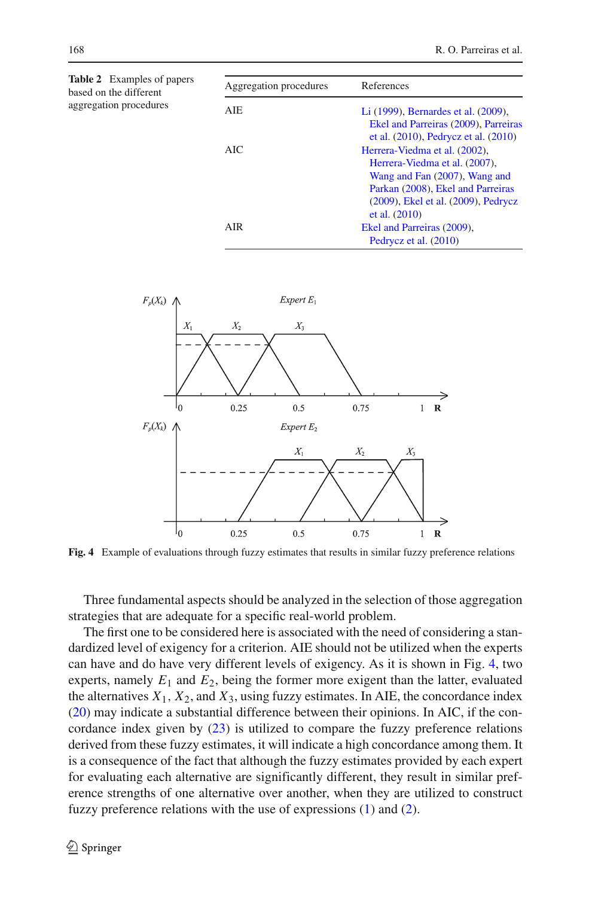<span id="page-15-0"></span>

| <b>Table 2</b> Examples of papers<br>based on the different<br>aggregation procedures | Aggregation procedures | References                                                                                                                                                                                     |  |  |
|---------------------------------------------------------------------------------------|------------------------|------------------------------------------------------------------------------------------------------------------------------------------------------------------------------------------------|--|--|
|                                                                                       | AIE                    | Li (1999), Bernardes et al. (2009),<br>Ekel and Parreiras (2009), Parreiras<br>et al. (2010), Pedrycz et al. (2010)                                                                            |  |  |
|                                                                                       | AIC<br><b>AIR</b>      | Herrera-Viedma et al. (2002),<br>Herrera-Viedma et al. (2007),<br>Wang and Fan (2007), Wang and<br>Parkan (2008), Ekel and Parreiras<br>(2009), Ekel et al. (2009), Pedrycz<br>et al. $(2010)$ |  |  |
|                                                                                       |                        | Ekel and Parreiras (2009).<br>Pedrycz et al. (2010)                                                                                                                                            |  |  |



<span id="page-15-1"></span>**Fig. 4** Example of evaluations through fuzzy estimates that results in similar fuzzy preference relations

Three fundamental aspects should be analyzed in the selection of those aggregation strategies that are adequate for a specific real-world problem.

The first one to be considered here is associated with the need of considering a standardized level of exigency for a criterion. AIE should not be utilized when the experts can have and do have very different levels of exigency. As it is shown in Fig. [4,](#page-15-1) two experts, namely  $E_1$  and  $E_2$ , being the former more exigent than the latter, evaluated the alternatives  $X_1, X_2$ , and  $X_3$ , using fuzzy estimates. In AIE, the concordance index [\(20\)](#page-12-0) may indicate a substantial difference between their opinions. In AIC, if the concordance index given by [\(23\)](#page-12-1) is utilized to compare the fuzzy preference relations derived from these fuzzy estimates, it will indicate a high concordance among them. It is a consequence of the fact that although the fuzzy estimates provided by each expert for evaluating each alternative are significantly different, they result in similar preference strengths of one alternative over another, when they are utilized to construct fuzzy preference relations with the use of expressions [\(1\)](#page-3-0) and [\(2\)](#page-3-0).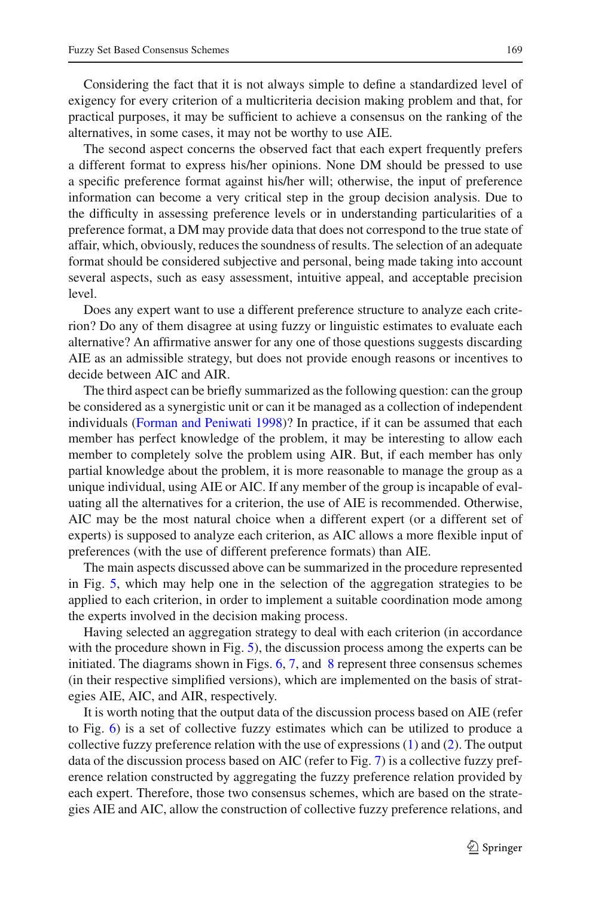The second aspect concerns the observed fact that each expert frequently prefers a different format to express his/her opinions. None DM should be pressed to use a specific preference format against his/her will; otherwise, the input of preference information can become a very critical step in the group decision analysis. Due to the difficulty in assessing preference levels or in understanding particularities of a preference format, a DM may provide data that does not correspond to the true state of affair, which, obviously, reduces the soundness of results. The selection of an adequate format should be considered subjective and personal, being made taking into account several aspects, such as easy assessment, intuitive appeal, and acceptable precision level.

Does any expert want to use a different preference structure to analyze each criterion? Do any of them disagree at using fuzzy or linguistic estimates to evaluate each alternative? An affirmative answer for any one of those questions suggests discarding AIE as an admissible strategy, but does not provide enough reasons or incentives to decide between AIC and AIR.

The third aspect can be briefly summarized as the following question: can the group be considered as a synergistic unit or can it be managed as a collection of independent individuals [\(Forman and Peniwati 1998\)](#page-29-16)? In practice, if it can be assumed that each member has perfect knowledge of the problem, it may be interesting to allow each member to completely solve the problem using AIR. But, if each member has only partial knowledge about the problem, it is more reasonable to manage the group as a unique individual, using AIE or AIC. If any member of the group is incapable of evaluating all the alternatives for a criterion, the use of AIE is recommended. Otherwise, AIC may be the most natural choice when a different expert (or a different set of experts) is supposed to analyze each criterion, as AIC allows a more flexible input of preferences (with the use of different preference formats) than AIE.

The main aspects discussed above can be summarized in the procedure represented in Fig. [5,](#page-17-1) which may help one in the selection of the aggregation strategies to be applied to each criterion, in order to implement a suitable coordination mode among the experts involved in the decision making process.

Having selected an aggregation strategy to deal with each criterion (in accordance with the procedure shown in Fig. [5\)](#page-17-1), the discussion process among the experts can be initiated. The diagrams shown in Figs. [6,](#page-18-0) [7,](#page-19-0) and [8](#page-20-0) represent three consensus schemes (in their respective simplified versions), which are implemented on the basis of strategies AIE, AIC, and AIR, respectively.

It is worth noting that the output data of the discussion process based on AIE (refer to Fig. [6\)](#page-18-0) is a set of collective fuzzy estimates which can be utilized to produce a collective fuzzy preference relation with the use of expressions  $(1)$  and  $(2)$ . The output data of the discussion process based on AIC (refer to Fig. [7\)](#page-19-0) is a collective fuzzy preference relation constructed by aggregating the fuzzy preference relation provided by each expert. Therefore, those two consensus schemes, which are based on the strategies AIE and AIC, allow the construction of collective fuzzy preference relations, and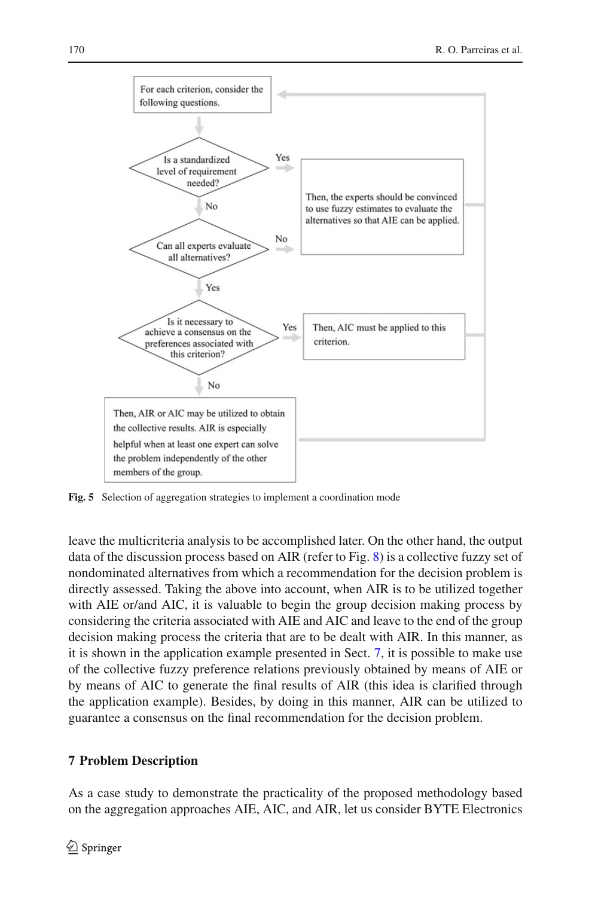

<span id="page-17-1"></span>**Fig. 5** Selection of aggregation strategies to implement a coordination mode

leave the multicriteria analysis to be accomplished later. On the other hand, the output data of the discussion process based on AIR (refer to Fig. [8\)](#page-20-0) is a collective fuzzy set of nondominated alternatives from which a recommendation for the decision problem is directly assessed. Taking the above into account, when AIR is to be utilized together with AIE or/and AIC, it is valuable to begin the group decision making process by considering the criteria associated with AIE and AIC and leave to the end of the group decision making process the criteria that are to be dealt with AIR. In this manner, as it is shown in the application example presented in Sect. [7,](#page-17-0) it is possible to make use of the collective fuzzy preference relations previously obtained by means of AIE or by means of AIC to generate the final results of AIR (this idea is clarified through the application example). Besides, by doing in this manner, AIR can be utilized to guarantee a consensus on the final recommendation for the decision problem.

# <span id="page-17-0"></span>**7 Problem Description**

As a case study to demonstrate the practicality of the proposed methodology based on the aggregation approaches AIE, AIC, and AIR, let us consider BYTE Electronics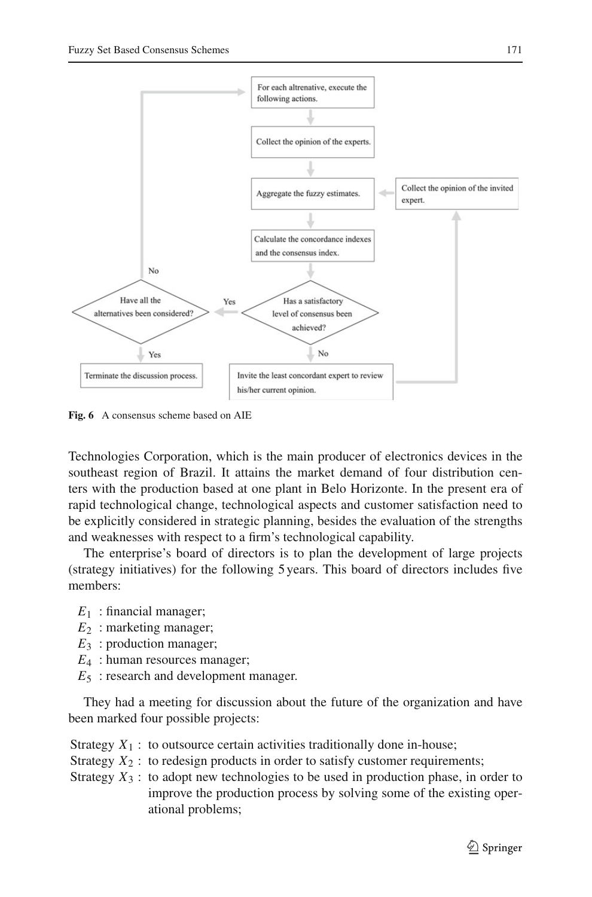

<span id="page-18-0"></span>**Fig. 6** A consensus scheme based on AIE

Technologies Corporation, which is the main producer of electronics devices in the southeast region of Brazil. It attains the market demand of four distribution centers with the production based at one plant in Belo Horizonte. In the present era of rapid technological change, technological aspects and customer satisfaction need to be explicitly considered in strategic planning, besides the evaluation of the strengths and weaknesses with respect to a firm's technological capability.

The enterprise's board of directors is to plan the development of large projects (strategy initiatives) for the following 5 years. This board of directors includes five members:

- *E*<sup>1</sup> : financial manager;
- *E*<sup>2</sup> : marketing manager;
- *E*<sub>3</sub> : production manager;
- *E*<sup>4</sup> : human resources manager;
- *E*<sub>5</sub> : research and development manager.

They had a meeting for discussion about the future of the organization and have been marked four possible projects:

| Strategy $X_1$ : to outsource certain activities traditionally done in-house; |  |  |  |
|-------------------------------------------------------------------------------|--|--|--|
|-------------------------------------------------------------------------------|--|--|--|

- Strategy  $X_2$ : to redesign products in order to satisfy customer requirements;
- Strategy  $X_3$ : to adopt new technologies to be used in production phase, in order to improve the production process by solving some of the existing operational problems;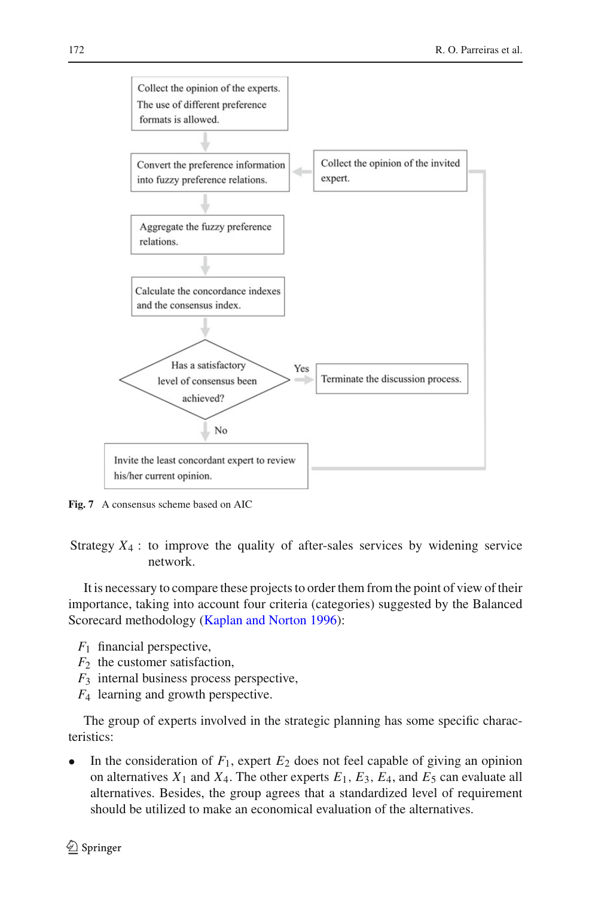

<span id="page-19-0"></span>**Fig. 7** A consensus scheme based on AIC

Strategy  $X_4$ : to improve the quality of after-sales services by widening service network.

It is necessary to compare these projects to order them from the point of view of their importance, taking into account four criteria (categories) suggested by the Balanced Scorecard methodology [\(Kaplan and Norton 1996](#page-29-0)):

- *F*<sup>1</sup> financial perspective,
- $F_2$  the customer satisfaction,
- $F_3$  internal business process perspective,
- *F*<sup>4</sup> learning and growth perspective.

The group of experts involved in the strategic planning has some specific characteristics:

In the consideration of  $F_1$ , expert  $E_2$  does not feel capable of giving an opinion on alternatives  $X_1$  and  $X_4$ . The other experts  $E_1$ ,  $E_3$ ,  $E_4$ , and  $E_5$  can evaluate all alternatives. Besides, the group agrees that a standardized level of requirement should be utilized to make an economical evaluation of the alternatives.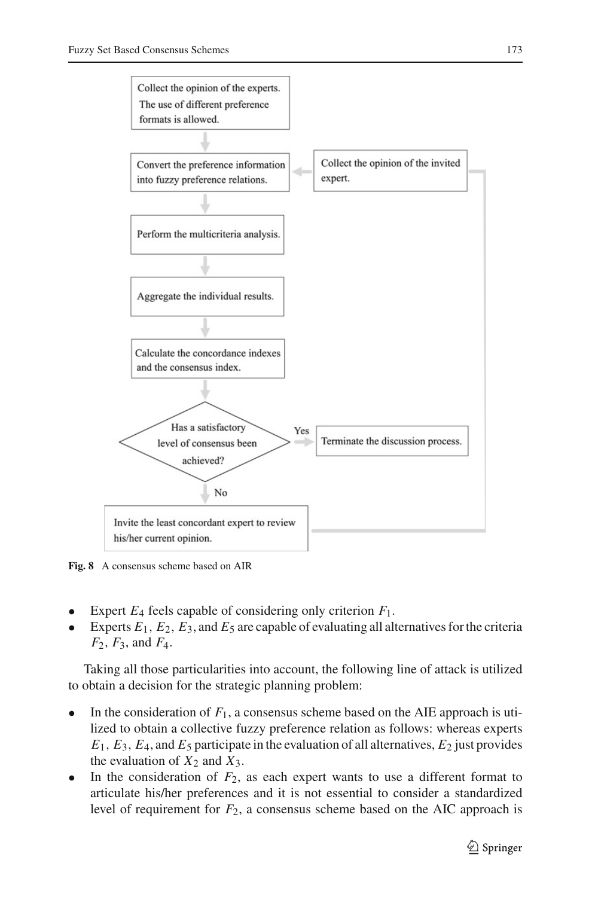

<span id="page-20-0"></span>**Fig. 8** A consensus scheme based on AIR

- Expert *E*<sup>4</sup> feels capable of considering only criterion *F*1.
- Experts  $E_1$ ,  $E_2$ ,  $E_3$ , and  $E_5$  are capable of evaluating all alternatives for the criteria *F*2, *F*3, and *F*4.

Taking all those particularities into account, the following line of attack is utilized to obtain a decision for the strategic planning problem:

- In the consideration of  $F_1$ , a consensus scheme based on the AIE approach is utilized to obtain a collective fuzzy preference relation as follows: whereas experts  $E_1, E_3, E_4$ , and  $E_5$  participate in the evaluation of all alternatives,  $E_2$  just provides the evaluation of  $X_2$  and  $X_3$ .
- In the consideration of  $F_2$ , as each expert wants to use a different format to articulate his/her preferences and it is not essential to consider a standardized level of requirement for  $F_2$ , a consensus scheme based on the AIC approach is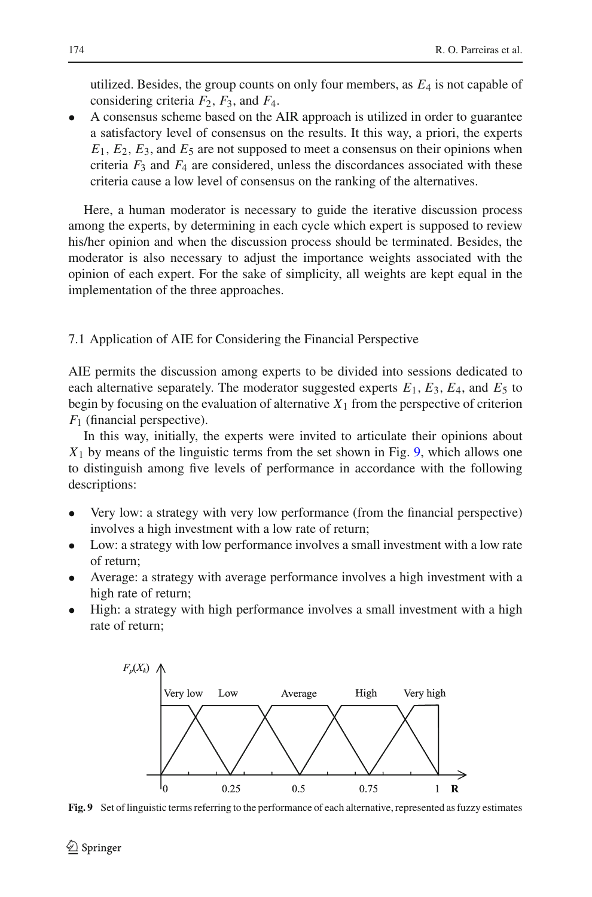utilized. Besides, the group counts on only four members, as *E*<sup>4</sup> is not capable of considering criteria *F*2, *F*3, and *F*4.

• A consensus scheme based on the AIR approach is utilized in order to guarantee a satisfactory level of consensus on the results. It this way, a priori, the experts  $E_1, E_2, E_3$ , and  $E_5$  are not supposed to meet a consensus on their opinions when criteria  $F_3$  and  $F_4$  are considered, unless the discordances associated with these criteria cause a low level of consensus on the ranking of the alternatives.

Here, a human moderator is necessary to guide the iterative discussion process among the experts, by determining in each cycle which expert is supposed to review his/her opinion and when the discussion process should be terminated. Besides, the moderator is also necessary to adjust the importance weights associated with the opinion of each expert. For the sake of simplicity, all weights are kept equal in the implementation of the three approaches.

#### 7.1 Application of AIE for Considering the Financial Perspective

AIE permits the discussion among experts to be divided into sessions dedicated to each alternative separately. The moderator suggested experts  $E_1, E_3, E_4$ , and  $E_5$  to begin by focusing on the evaluation of alternative  $X_1$  from the perspective of criterion *F*<sup>1</sup> (financial perspective).

In this way, initially, the experts were invited to articulate their opinions about *X*<sup>1</sup> by means of the linguistic terms from the set shown in Fig. [9,](#page-21-0) which allows one to distinguish among five levels of performance in accordance with the following descriptions:

- Very low: a strategy with very low performance (from the financial perspective) involves a high investment with a low rate of return;
- Low: a strategy with low performance involves a small investment with a low rate of return;
- Average: a strategy with average performance involves a high investment with a high rate of return;
- High: a strategy with high performance involves a small investment with a high rate of return;



<span id="page-21-0"></span>**Fig. 9** Set of linguistic terms referring to the performance of each alternative, represented as fuzzy estimates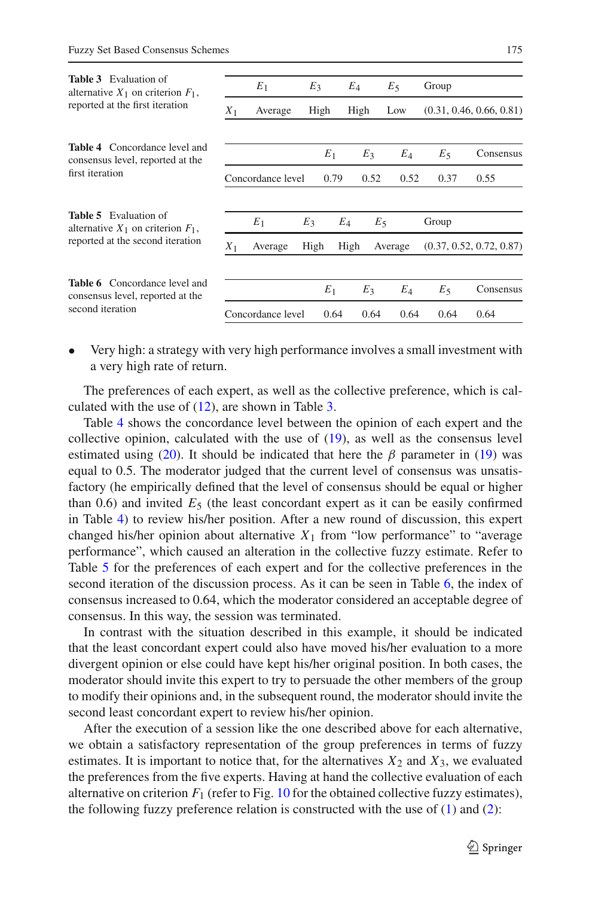<span id="page-22-1"></span><span id="page-22-0"></span>

| <b>Table 3</b> Evaluation of<br>alternative $X_1$ on criterion $F_1$ ,   |       | $E_1$             | $E_3$ |       | $E_4$ | $E_5$   | Group                    |           |
|--------------------------------------------------------------------------|-------|-------------------|-------|-------|-------|---------|--------------------------|-----------|
| reported at the first iteration                                          | $X_1$ | Average           | High  |       | High  | Low     | (0.31, 0.46, 0.66, 0.81) |           |
| <b>Table 4</b> Concordance level and<br>consensus level, reported at the |       |                   |       | $E_1$ | $E_3$ | $E_4$   | $E_5$                    | Consensus |
| first iteration                                                          |       | Concordance level |       | 0.79  | 0.52  | 0.52    | 0.37                     | 0.55      |
| <b>Table 5</b> Evaluation of<br>alternative $X_1$ on criterion $F_1$ ,   |       | $E_1$             | $E_3$ | $E_4$ | $E_5$ |         | Group                    |           |
| reported at the second iteration                                         | $X_1$ | Average           | High  |       | High  | Average | (0.37, 0.52, 0.72, 0.87) |           |
| <b>Table 6</b> Concordance level and<br>consensus level, reported at the |       |                   |       | $E_1$ | $E_3$ | $E_4$   | $E_5$                    | Consensus |
| second iteration                                                         |       | Concordance level |       | 0.64  | 0.64  | 0.64    | 0.64                     | 0.64      |

<span id="page-22-3"></span><span id="page-22-2"></span>• Very high: a strategy with very high performance involves a small investment with a very high rate of return.

The preferences of each expert, as well as the collective preference, which is calculated with the use of [\(12\)](#page-6-1), are shown in Table [3.](#page-22-0)

Table [4](#page-22-1) shows the concordance level between the opinion of each expert and the collective opinion, calculated with the use of [\(19\)](#page-11-2), as well as the consensus level estimated using [\(20\)](#page-12-0). It should be indicated that here the  $\beta$  parameter in [\(19\)](#page-11-2) was equal to 0.5. The moderator judged that the current level of consensus was unsatisfactory (he empirically defined that the level of consensus should be equal or higher than 0.6) and invited  $E_5$  (the least concordant expert as it can be easily confirmed in Table [4\)](#page-22-1) to review his/her position. After a new round of discussion, this expert changed his/her opinion about alternative  $X_1$  from "low performance" to "average performance", which caused an alteration in the collective fuzzy estimate. Refer to Table [5](#page-22-2) for the preferences of each expert and for the collective preferences in the second iteration of the discussion process. As it can be seen in Table [6,](#page-22-3) the index of consensus increased to 0.64, which the moderator considered an acceptable degree of consensus. In this way, the session was terminated.

In contrast with the situation described in this example, it should be indicated that the least concordant expert could also have moved his/her evaluation to a more divergent opinion or else could have kept his/her original position. In both cases, the moderator should invite this expert to try to persuade the other members of the group to modify their opinions and, in the subsequent round, the moderator should invite the second least concordant expert to review his/her opinion.

After the execution of a session like the one described above for each alternative, we obtain a satisfactory representation of the group preferences in terms of fuzzy estimates. It is important to notice that, for the alternatives  $X_2$  and  $X_3$ , we evaluated the preferences from the five experts. Having at hand the collective evaluation of each alternative on criterion  $F_1$  (refer to Fig. [10](#page-23-0) for the obtained collective fuzzy estimates), the following fuzzy preference relation is constructed with the use of  $(1)$  and  $(2)$ :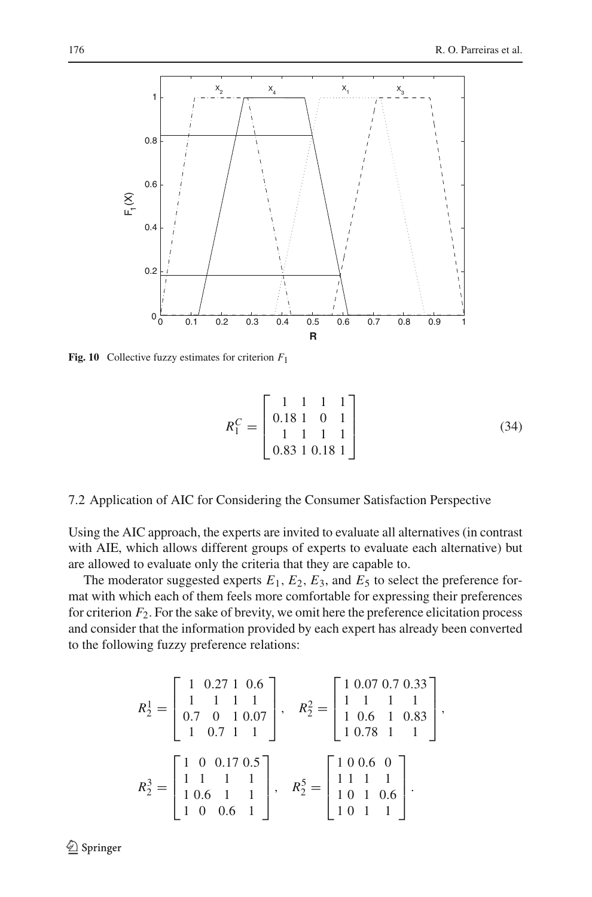

<span id="page-23-1"></span><span id="page-23-0"></span>**Fig. 10** Collective fuzzy estimates for criterion *F*1

$$
R_1^C = \begin{bmatrix} 1 & 1 & 1 & 1 \\ 0.18 & 1 & 0 & 1 \\ 1 & 1 & 1 & 1 \\ 0.83 & 1 & 0.18 & 1 \end{bmatrix}
$$
 (34)

#### 7.2 Application of AIC for Considering the Consumer Satisfaction Perspective

Using the AIC approach, the experts are invited to evaluate all alternatives (in contrast with AIE, which allows different groups of experts to evaluate each alternative) but are allowed to evaluate only the criteria that they are capable to.

The moderator suggested experts  $E_1$ ,  $E_2$ ,  $E_3$ , and  $E_5$  to select the preference format with which each of them feels more comfortable for expressing their preferences for criterion *F*2. For the sake of brevity, we omit here the preference elicitation process and consider that the information provided by each expert has already been converted to the following fuzzy preference relations:

$$
R_2^1 = \begin{bmatrix} 1 & 0.27 & 1 & 0.6 \\ 1 & 1 & 1 & 1 \\ 0.7 & 0 & 1 & 0.07 \\ 1 & 0.7 & 1 & 1 \end{bmatrix}, \quad R_2^2 = \begin{bmatrix} 1 & 0.07 & 0.7 & 0.33 \\ 1 & 1 & 1 & 1 \\ 1 & 0.6 & 1 & 0.83 \\ 1 & 0.78 & 1 & 1 \end{bmatrix},
$$

$$
R_2^3 = \begin{bmatrix} 1 & 0 & 0.17 & 0.5 \\ 1 & 1 & 1 & 1 \\ 1 & 0.6 & 1 & 1 \\ 1 & 0 & 0.6 & 1 \end{bmatrix}, \quad R_2^5 = \begin{bmatrix} 1 & 0 & 0.6 & 0 \\ 1 & 1 & 1 & 1 \\ 1 & 0 & 1 & 0.6 \\ 1 & 0 & 1 & 1 \end{bmatrix}.
$$

<sup>2</sup> Springer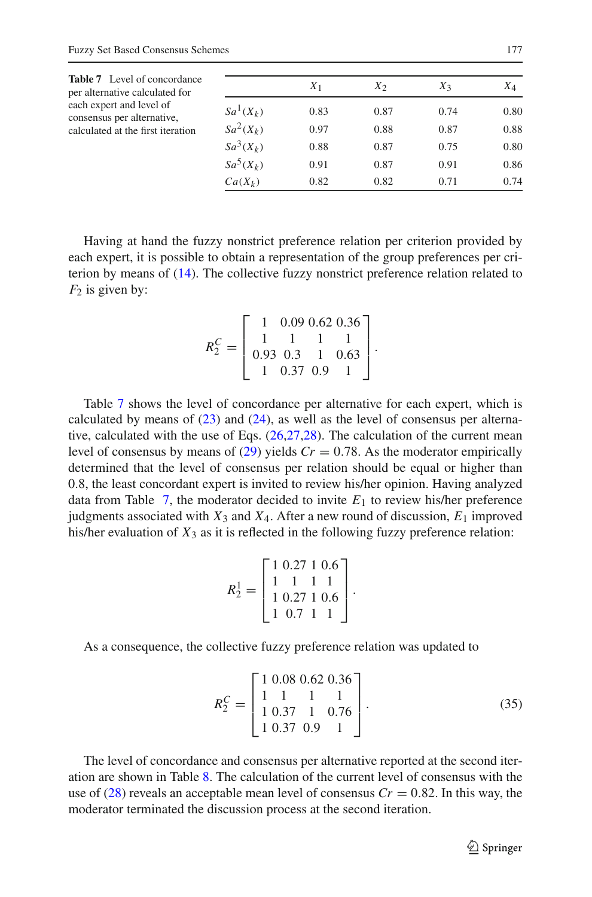<span id="page-24-0"></span>

| <b>Table 7</b> Level of concordance<br>per alternative calculated for<br>each expert and level of<br>consensus per alternative,<br>calculated at the first iteration |             | $X_1$ | X <sub>2</sub> | $X_3$ | $X_{\mathcal{A}}$ |
|----------------------------------------------------------------------------------------------------------------------------------------------------------------------|-------------|-------|----------------|-------|-------------------|
|                                                                                                                                                                      | $Sa^1(X_k)$ | 0.83  | 0.87           | 0.74  | 0.80              |
|                                                                                                                                                                      | $Sa^2(X_k)$ | 0.97  | 0.88           | 0.87  | 0.88              |
|                                                                                                                                                                      | $Sa^3(X_k)$ | 0.88  | 0.87           | 0.75  | 0.80              |
|                                                                                                                                                                      | $Sa^5(X_k)$ | 0.91  | 0.87           | 0.91  | 0.86              |
|                                                                                                                                                                      | $Ca(X_k)$   | 0.82  | 0.82           | 0.71  | 0.74              |

Having at hand the fuzzy nonstrict preference relation per criterion provided by each expert, it is possible to obtain a representation of the group preferences per criterion by means of [\(14\)](#page-9-1). The collective fuzzy nonstrict preference relation related to  $F_2$  is given by:

$$
R_2^C = \left[ \begin{array}{rrrr} 1 & 0.09 & 0.62 & 0.36 \\ 1 & 1 & 1 & 1 \\ 0.93 & 0.3 & 1 & 0.63 \\ 1 & 0.37 & 0.9 & 1 \end{array} \right].
$$

Table [7](#page-24-0) shows the level of concordance per alternative for each expert, which is calculated by means of  $(23)$  and  $(24)$ , as well as the level of consensus per alternative, calculated with the use of Eqs. [\(26,](#page-13-1)[27](#page-13-2)[,28\)](#page-13-3). The calculation of the current mean level of consensus by means of  $(29)$  yields  $Cr = 0.78$ . As the moderator empirically determined that the level of consensus per relation should be equal or higher than 0.8, the least concordant expert is invited to review his/her opinion. Having analyzed data from Table [7,](#page-24-0) the moderator decided to invite  $E_1$  to review his/her preference judgments associated with  $X_3$  and  $X_4$ . After a new round of discussion,  $E_1$  improved his/her evaluation of  $X_3$  as it is reflected in the following fuzzy preference relation:

$$
R_2^1 = \begin{bmatrix} 1 & 0.27 & 1 & 0.6 \\ 1 & 1 & 1 & 1 \\ 1 & 0.27 & 1 & 0.6 \\ 1 & 0.7 & 1 & 1 \end{bmatrix}.
$$

<span id="page-24-1"></span>As a consequence, the collective fuzzy preference relation was updated to

$$
R_2^C = \begin{bmatrix} 1 & 0.08 & 0.62 & 0.36 \\ 1 & 1 & 1 & 1 \\ 1 & 0.37 & 1 & 0.76 \\ 1 & 0.37 & 0.9 & 1 \end{bmatrix}.
$$
 (35)

The level of concordance and consensus per alternative reported at the second iteration are shown in Table [8.](#page-25-0) The calculation of the current level of consensus with the use of  $(28)$  reveals an acceptable mean level of consensus  $Cr = 0.82$ . In this way, the moderator terminated the discussion process at the second iteration.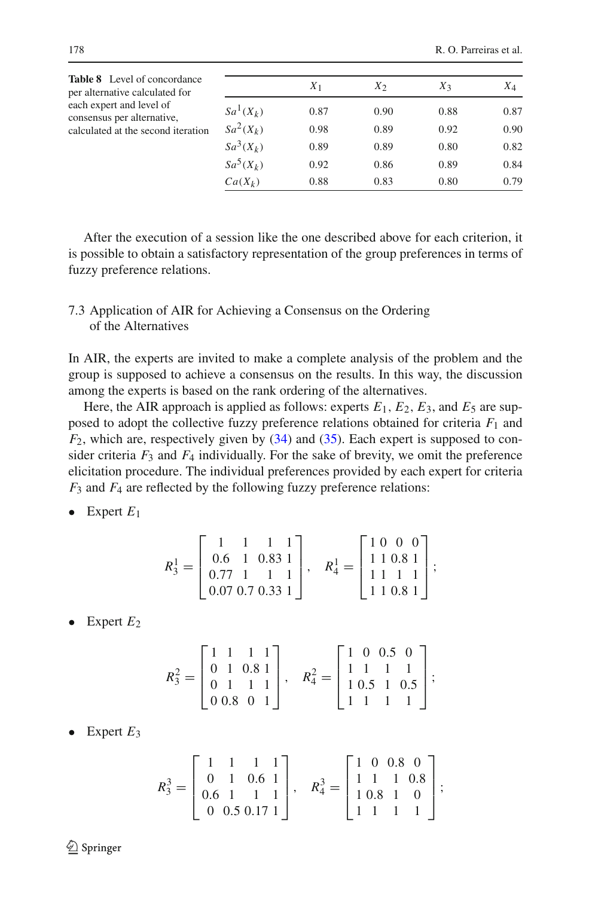<span id="page-25-0"></span>

| <b>Table 8</b> Level of concordance<br>per alternative calculated for<br>each expert and level of<br>consensus per alternative,<br>calculated at the second iteration |             | $X_1$ | $X_{2}$ | $X_3$ | $X_4$ |
|-----------------------------------------------------------------------------------------------------------------------------------------------------------------------|-------------|-------|---------|-------|-------|
|                                                                                                                                                                       | $Sa^1(X_k)$ | 0.87  | 0.90    | 0.88  | 0.87  |
|                                                                                                                                                                       | $Sa^2(X_k)$ | 0.98  | 0.89    | 0.92  | 0.90  |
|                                                                                                                                                                       | $Sa^3(X_k)$ | 0.89  | 0.89    | 0.80  | 0.82  |
|                                                                                                                                                                       | $Sa^5(X_k)$ | 0.92  | 0.86    | 0.89  | 0.84  |
|                                                                                                                                                                       | $Ca(X_k)$   | 0.88  | 0.83    | 0.80  | 0.79  |

After the execution of a session like the one described above for each criterion, it is possible to obtain a satisfactory representation of the group preferences in terms of fuzzy preference relations.

# 7.3 Application of AIR for Achieving a Consensus on the Ordering of the Alternatives

In AIR, the experts are invited to make a complete analysis of the problem and the group is supposed to achieve a consensus on the results. In this way, the discussion among the experts is based on the rank ordering of the alternatives.

Here, the AIR approach is applied as follows: experts  $E_1$ ,  $E_2$ ,  $E_3$ , and  $E_5$  are supposed to adopt the collective fuzzy preference relations obtained for criteria *F*<sup>1</sup> and *F*<sub>2</sub>, which are, respectively given by [\(34\)](#page-23-1) and [\(35\)](#page-24-1). Each expert is supposed to consider criteria  $F_3$  and  $F_4$  individually. For the sake of brevity, we omit the preference elicitation procedure. The individual preferences provided by each expert for criteria *F*<sup>3</sup> and *F*<sup>4</sup> are reflected by the following fuzzy preference relations:

• Expert 
$$
E_1
$$

$$
R_3^1 = \begin{bmatrix} 1 & 1 & 1 & 1 \\ 0.6 & 1 & 0.83 & 1 \\ 0.77 & 1 & 1 & 1 \\ 0.07 & 0.7 & 0.33 & 1 \end{bmatrix}, \quad R_4^1 = \begin{bmatrix} 1 & 0 & 0 & 0 \\ 1 & 1 & 0.8 & 1 \\ 1 & 1 & 1 & 1 \\ 1 & 1 & 0.8 & 1 \end{bmatrix};
$$

• Expert  $E_2$ 

$$
R_3^2 = \begin{bmatrix} 1 & 1 & 1 & 1 \\ 0 & 1 & 0.8 & 1 \\ 0 & 1 & 1 & 1 \\ 0 & 0.8 & 0 & 1 \end{bmatrix}, \quad R_4^2 = \begin{bmatrix} 1 & 0 & 0.5 & 0 \\ 1 & 1 & 1 & 1 \\ 1 & 0.5 & 1 & 0.5 \\ 1 & 1 & 1 & 1 \end{bmatrix};
$$

• Expert *E*<sup>3</sup>

$$
R_3^3 = \begin{bmatrix} 1 & 1 & 1 & 1 \\ 0 & 1 & 0.6 & 1 \\ 0.6 & 1 & 1 & 1 \\ 0 & 0.5 & 0.17 & 1 \end{bmatrix}, \quad R_4^3 = \begin{bmatrix} 1 & 0 & 0.8 & 0 \\ 1 & 1 & 1 & 0.8 \\ 1 & 0.8 & 1 & 0 \\ 1 & 1 & 1 & 1 \end{bmatrix};
$$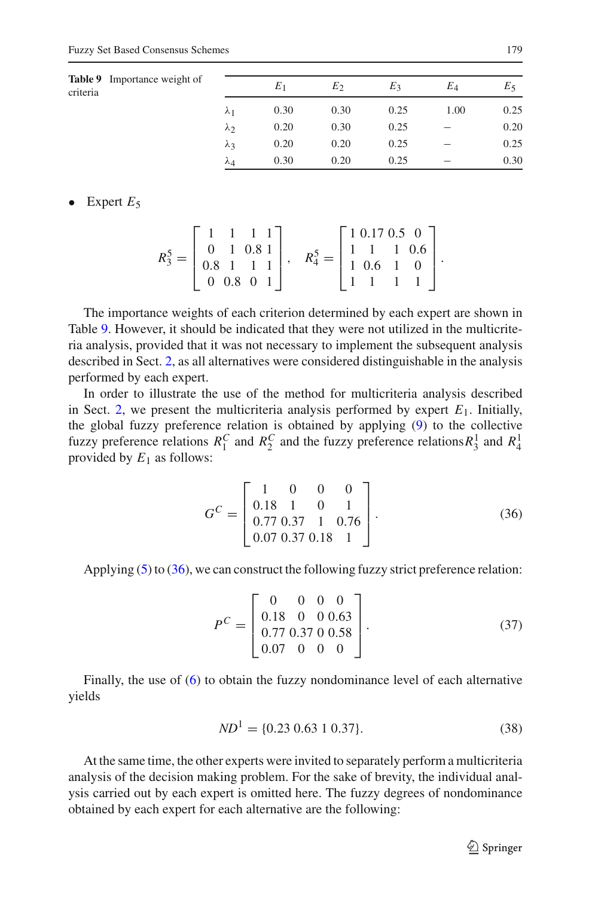<span id="page-26-0"></span>

| criteria | <b>Table 9</b> Importance weight of |             | $E_1$ | E <sub>2</sub> | $E_3$ | EΔ   | $E_5$ |
|----------|-------------------------------------|-------------|-------|----------------|-------|------|-------|
|          |                                     | $\lambda_1$ | 0.30  | 0.30           | 0.25  | 1.00 | 0.25  |
|          |                                     | $\lambda_2$ | 0.20  | 0.30           | 0.25  |      | 0.20  |
|          |                                     | $\lambda_3$ | 0.20  | 0.20           | 0.25  |      | 0.25  |
|          |                                     | $\lambda_4$ | 0.30  | 0.20           | 0.25  |      | 0.30  |

#### Expert  $E_5$

$$
R_3^5 = \begin{bmatrix} 1 & 1 & 1 & 1 \\ 0 & 1 & 0.8 & 1 \\ 0.8 & 1 & 1 & 1 \\ 0 & 0.8 & 0 & 1 \end{bmatrix}, \quad R_4^5 = \begin{bmatrix} 1 & 0.17 & 0.5 & 0 \\ 1 & 1 & 1 & 0.6 \\ 1 & 0.6 & 1 & 0 \\ 1 & 1 & 1 & 1 \end{bmatrix}.
$$

The importance weights of each criterion determined by each expert are shown in Table [9.](#page-26-0) However, it should be indicated that they were not utilized in the multicriteria analysis, provided that it was not necessary to implement the subsequent analysis described in Sect. [2,](#page-2-0) as all alternatives were considered distinguishable in the analysis performed by each expert.

In order to illustrate the use of the method for multicriteria analysis described in Sect. [2,](#page-2-0) we present the multicriteria analysis performed by expert  $E_1$ . Initially, the global fuzzy preference relation is obtained by applying [\(9\)](#page-5-1) to the collective fuzzy preference relations  $R_1^C$  and  $R_2^C$  and the fuzzy preference relations $R_3^1$  and  $R_4^1$ provided by  $E_1$  as follows:

$$
G^{C} = \begin{bmatrix} 1 & 0 & 0 & 0 \\ 0.18 & 1 & 0 & 1 \\ 0.77 & 0.37 & 1 & 0.76 \\ 0.07 & 0.37 & 0.18 & 1 \end{bmatrix}.
$$
 (36)

<span id="page-26-1"></span>Applying [\(5\)](#page-4-1) to [\(36\)](#page-26-1), we can construct the following fuzzy strict preference relation:

$$
P^{C} = \begin{bmatrix} 0 & 0 & 0 & 0 \\ 0.18 & 0 & 0 & 0.63 \\ 0.77 & 0.37 & 0 & 0.58 \\ 0.07 & 0 & 0 & 0 \end{bmatrix}.
$$
 (37)

Finally, the use of [\(6\)](#page-4-3) to obtain the fuzzy nondominance level of each alternative yields

$$
ND^1 = \{0.23\ 0.63\ 1\ 0.37\}.\tag{38}
$$

<span id="page-26-2"></span>At the same time, the other experts were invited to separately perform a multicriteria analysis of the decision making problem. For the sake of brevity, the individual analysis carried out by each expert is omitted here. The fuzzy degrees of nondominance obtained by each expert for each alternative are the following: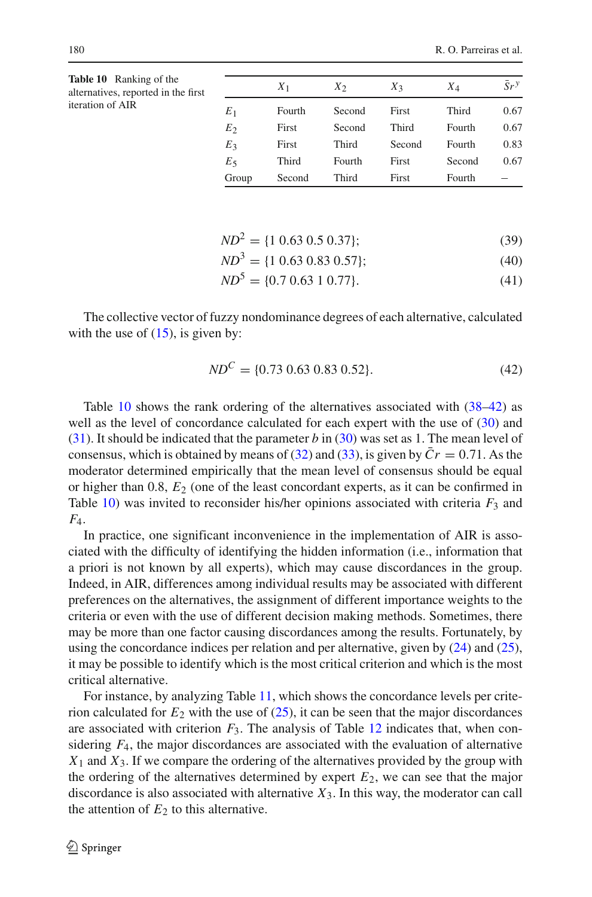<span id="page-27-0"></span>

| <b>Table 10</b> Ranking of the<br>alternatives, reported in the first |       | $X_1$  | $X_{2}$ | $X_3$  | $X_4$  | $\bar{S}r^y$ |
|-----------------------------------------------------------------------|-------|--------|---------|--------|--------|--------------|
| iteration of AIR                                                      | $E_1$ | Fourth | Second  | First  | Third  | 0.67         |
|                                                                       | $E_2$ | First  | Second  | Third  | Fourth | 0.67         |
|                                                                       | $E_3$ | First  | Third   | Second | Fourth | 0.83         |
|                                                                       | $E_5$ | Third  | Fourth  | First  | Second | 0.67         |
|                                                                       | Group | Second | Third   | First  | Fourth |              |

$$
ND^2 = \{1\ 0.63\ 0.5\ 0.37\};\tag{39}
$$

$$
ND^3 = \{1\ 0.63\ 0.83\ 0.57\};\tag{40}
$$

$$
ND^5 = \{0.7\ 0.63\ 1\ 0.77\}.\tag{41}
$$

The collective vector of fuzzy nondominance degrees of each alternative, calculated with the use of  $(15)$ , is given by:

$$
ND^{C} = \{0.73\ 0.63\ 0.83\ 0.52\}.\tag{42}
$$

<span id="page-27-1"></span>Table [10](#page-27-0) shows the rank ordering of the alternatives associated with [\(38](#page-26-2)[–42\)](#page-27-1) as well as the level of concordance calculated for each expert with the use of [\(30\)](#page-13-0) and [\(31\)](#page-14-1). It should be indicated that the parameter *b* in [\(30\)](#page-13-0) was set as 1. The mean level of consensus, which is obtained by means of [\(32\)](#page-14-2) and [\(33\)](#page-14-3), is given by  $\overline{C}r = 0.71$ . As the moderator determined empirically that the mean level of consensus should be equal or higher than 0.8, *E*<sup>2</sup> (one of the least concordant experts, as it can be confirmed in Table [10\)](#page-27-0) was invited to reconsider his/her opinions associated with criteria *F*<sup>3</sup> and *F*4.

In practice, one significant inconvenience in the implementation of AIR is associated with the difficulty of identifying the hidden information (i.e., information that a priori is not known by all experts), which may cause discordances in the group. Indeed, in AIR, differences among individual results may be associated with different preferences on the alternatives, the assignment of different importance weights to the criteria or even with the use of different decision making methods. Sometimes, there may be more than one factor causing discordances among the results. Fortunately, by using the concordance indices per relation and per alternative, given by [\(24\)](#page-12-2) and [\(25\)](#page-13-5), it may be possible to identify which is the most critical criterion and which is the most critical alternative.

For instance, by analyzing Table [11,](#page-28-1) which shows the concordance levels per criterion calculated for  $E_2$  with the use of  $(25)$ , it can be seen that the major discordances are associated with criterion  $F_3$ . The analysis of Table [12](#page-28-2) indicates that, when considering  $F_4$ , the major discordances are associated with the evaluation of alternative  $X_1$  and  $X_3$ . If we compare the ordering of the alternatives provided by the group with the ordering of the alternatives determined by expert  $E_2$ , we can see that the major discordance is also associated with alternative *X*3. In this way, the moderator can call the attention of  $E_2$  to this alternative.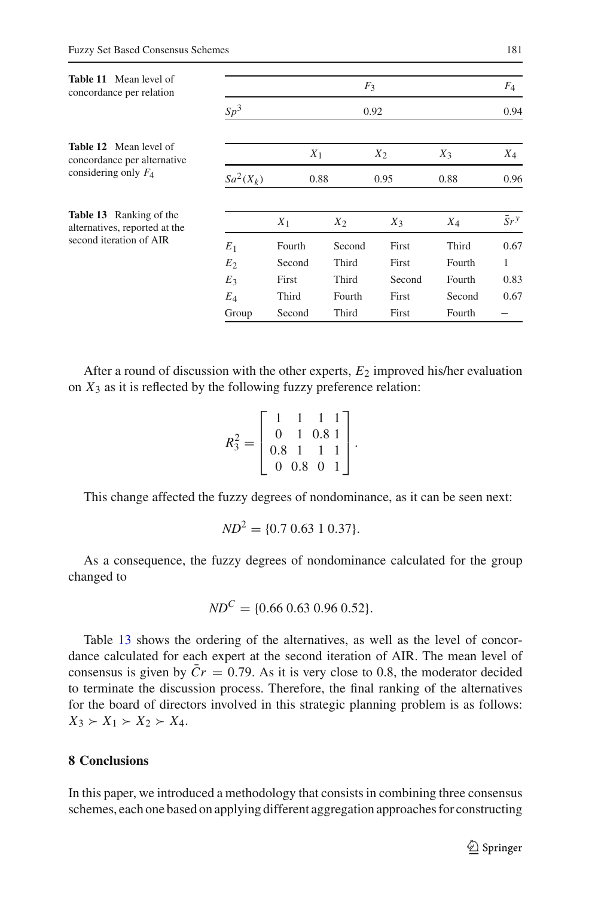<span id="page-28-2"></span><span id="page-28-1"></span>

| <b>Table 11</b> Mean level of                                                          |                |        |        |        |        |              |  |
|----------------------------------------------------------------------------------------|----------------|--------|--------|--------|--------|--------------|--|
| concordance per relation                                                               | $F_3$          |        |        |        |        |              |  |
|                                                                                        | $Sp^3$<br>0.92 |        |        |        |        |              |  |
| <b>Table 12</b> Mean level of<br>concordance per alternative<br>considering only $F_4$ |                | $X_1$  |        | $X_2$  | $X_3$  | $X_4$        |  |
|                                                                                        | $Sa^2(X_k)$    | 0.88   |        | 0.95   | 0.88   | 0.96         |  |
| <b>Table 13</b> Ranking of the<br>alternatives, reported at the                        |                | $X_1$  | $X_2$  | $X_3$  | $X_4$  | $\bar{S}r^y$ |  |
| second iteration of AIR                                                                | $E_1$          | Fourth | Second | First  | Third  | 0.67         |  |
|                                                                                        | E <sub>2</sub> | Second | Third  | First  | Fourth | 1            |  |
|                                                                                        | $E_3$          | First  | Third  | Second | Fourth | 0.83         |  |
|                                                                                        | $E_4$          | Third  | Fourth | First  | Second | 0.67         |  |
|                                                                                        | Group          | Second | Third  | First  | Fourth |              |  |

<span id="page-28-3"></span>After a round of discussion with the other experts, *E*<sup>2</sup> improved his/her evaluation on  $X_3$  as it is reflected by the following fuzzy preference relation:

$$
R_3^2 = \left[ \begin{array}{rrr} 1 & 1 & 1 & 1 \\ 0 & 1 & 0.8 & 1 \\ 0.8 & 1 & 1 & 1 \\ 0 & 0.8 & 0 & 1 \end{array} \right].
$$

This change affected the fuzzy degrees of nondominance, as it can be seen next:

$$
ND^2 = \{0.7\ 0.63\ 1\ 0.37\}.
$$

As a consequence, the fuzzy degrees of nondominance calculated for the group changed to

$$
ND^C = \{0.66\,0.63\,0.96\,0.52\}.
$$

Table [13](#page-28-3) shows the ordering of the alternatives, as well as the level of concordance calculated for each expert at the second iteration of AIR. The mean level of consensus is given by  $Cr = 0.79$ . As it is very close to 0.8, the moderator decided to terminate the discussion process. Therefore, the final ranking of the alternatives for the board of directors involved in this strategic planning problem is as follows:  $X_3 \succ X_1 \succ X_2 \succ X_4$ .

# <span id="page-28-0"></span>**8 Conclusions**

In this paper, we introduced a methodology that consists in combining three consensus schemes, each one based on applying different aggregation approaches for constructing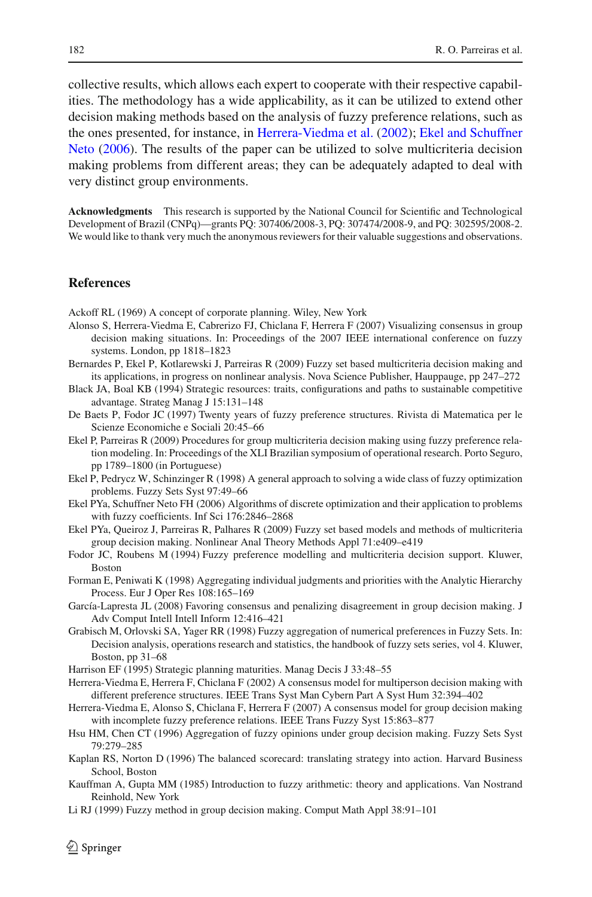collective results, which allows each expert to cooperate with their respective capabilities. The methodology has a wide applicability, as it can be utilized to extend other decision making methods based on the analysis of fuzzy preference relations, such as the [ones](#page-29-8) [presented,](#page-29-8) [for](#page-29-8) [instance,](#page-29-8) [in](#page-29-8) [Herrera-Viedma et al.](#page-29-4) [\(2002](#page-29-4)); Ekel and Schuffner Neto [\(2006](#page-29-8)). The results of the paper can be utilized to solve multicriteria decision making problems from different areas; they can be adequately adapted to deal with very distinct group environments.

**Acknowledgments** This research is supported by the National Council for Scientific and Technological Development of Brazil (CNPq)—grants PQ: 307406/2008-3, PQ: 307474/2008-9, and PQ: 302595/2008-2. We would like to thank very much the anonymous reviewers for their valuable suggestions and observations.

#### **References**

<span id="page-29-2"></span>Ackoff RL (1969) A concept of corporate planning. Wiley, New York

- <span id="page-29-15"></span>Alonso S, Herrera-Viedma E, Cabrerizo FJ, Chiclana F, Herrera F (2007) Visualizing consensus in group decision making situations. In: Proceedings of the 2007 IEEE international conference on fuzzy systems. London, pp 1818–1823
- <span id="page-29-14"></span>Bernardes P, Ekel P, Kotlarewski J, Parreiras R (2009) Fuzzy set based multicriteria decision making and its applications, in progress on nonlinear analysis. Nova Science Publisher, Hauppauge, pp 247–272
- <span id="page-29-1"></span>Black JA, Boal KB (1994) Strategic resources: traits, configurations and paths to sustainable competitive advantage. Strateg Manag J 15:131–148
- <span id="page-29-7"></span>De Baets P, Fodor JC (1997) Twenty years of fuzzy preference structures. Rivista di Matematica per le Scienze Economiche e Sociali 20:45–66
- <span id="page-29-10"></span>Ekel P, Parreiras R (2009) Procedures for group multicriteria decision making using fuzzy preference relation modeling. In: Proceedings of the XLI Brazilian symposium of operational research. Porto Seguro, pp 1789–1800 (in Portuguese)
- <span id="page-29-6"></span>Ekel P, Pedrycz W, Schinzinger R (1998) A general approach to solving a wide class of fuzzy optimization problems. Fuzzy Sets Syst 97:49–66
- <span id="page-29-8"></span>Ekel PYa, Schuffner Neto FH (2006) Algorithms of discrete optimization and their application to problems with fuzzy coefficients. Inf Sci 176:2846–2868
- <span id="page-29-19"></span>Ekel PYa, Queiroz J, Parreiras R, Palhares R (2009) Fuzzy set based models and methods of multicriteria group decision making. Nonlinear Anal Theory Methods Appl 71:e409–e419
- <span id="page-29-5"></span>Fodor JC, Roubens M (1994) Fuzzy preference modelling and multicriteria decision support. Kluwer, Boston
- <span id="page-29-16"></span>Forman E, Peniwati K (1998) Aggregating individual judgments and priorities with the Analytic Hierarchy Process. Eur J Oper Res 108:165–169
- <span id="page-29-12"></span>García-Lapresta JL (2008) Favoring consensus and penalizing disagreement in group decision making. J Adv Comput Intell Intell Inform 12:416–421
- <span id="page-29-9"></span>Grabisch M, Orlovski SA, Yager RR (1998) Fuzzy aggregation of numerical preferences in Fuzzy Sets. In: Decision analysis, operations research and statistics, the handbook of fuzzy sets series, vol 4. Kluwer, Boston, pp 31–68
- <span id="page-29-3"></span>Harrison EF (1995) Strategic planning maturities. Manag Decis J 33:48–55
- <span id="page-29-4"></span>Herrera-Viedma E, Herrera F, Chiclana F (2002) A consensus model for multiperson decision making with different preference structures. IEEE Trans Syst Man Cybern Part A Syst Hum 32:394–402
- <span id="page-29-18"></span>Herrera-Viedma E, Alonso S, Chiclana F, Herrera F (2007) A consensus model for group decision making with incomplete fuzzy preference relations. IEEE Trans Fuzzy Syst 15:863–877
- <span id="page-29-13"></span>Hsu HM, Chen CT (1996) Aggregation of fuzzy opinions under group decision making. Fuzzy Sets Syst 79:279–285
- <span id="page-29-0"></span>Kaplan RS, Norton D (1996) The balanced scorecard: translating strategy into action. Harvard Business School, Boston
- <span id="page-29-11"></span>Kauffman A, Gupta MM (1985) Introduction to fuzzy arithmetic: theory and applications. Van Nostrand Reinhold, New York
- <span id="page-29-17"></span>Li RJ (1999) Fuzzy method in group decision making. Comput Math Appl 38:91–101